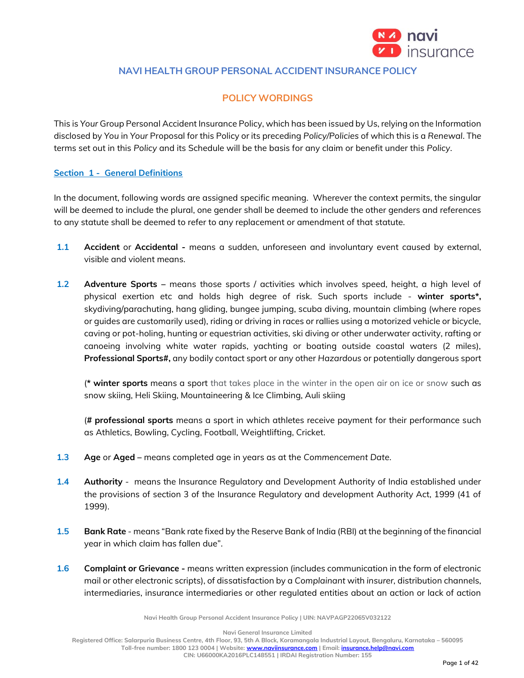

# **NAVI HEALTH GROUP PERSONAL ACCIDENT INSURANCE POLICY**

# **POLICY WORDINGS**

This is *Your* Group Personal Accident Insurance Policy, which has been issued by Us, relying on the Information disclosed by *You* in *Your* Proposal for this Policy or its preceding *Policy/Policies* of which this is a *Renewal*. The terms set out in this *Policy* and its Schedule will be the basis for any claim or benefit under this *Policy*.

## **Section 1 - General Definitions**

In the document, following words are assigned specific meaning. Wherever the context permits, the singular will be deemed to include the plural, one gender shall be deemed to include the other genders and references to any statute shall be deemed to refer to any replacement or amendment of that statute.

- **1.1 Accident** or **Accidental -** means a sudden, unforeseen and involuntary event caused by external, visible and violent means.
- **1.2 Adventure Sports –** means those sports / activities which involves speed, height, a high level of physical exertion etc and holds high degree of risk. Such sports include - **winter sports\*,** skydiving/parachuting, hang gliding, bungee jumping, scuba diving, mountain climbing (where ropes or guides are customarily used), riding or driving in races or rallies using a motorized vehicle or bicycle, caving or pot-holing, hunting or equestrian activities, ski diving or other underwater activity, rafting or canoeing involving white water rapids, yachting or boating outside coastal waters (2 miles), **Professional Sports#,** any bodily contact sport or any other *Hazardous* or potentially dangerous sport

(**\* winter sports** means a sport that takes place in the winter in the open air on ice or snow such as snow skiing, Heli Skiing, Mountaineering & Ice Climbing, Auli skiing

(**# professional sports** means a sport in which athletes receive payment for their performance such as [Athletics,](http://en.wikipedia.org/wiki/Athletics_at_the_Asian_Games) [Bowling,](http://en.wikipedia.org/wiki/Bowling_at_the_Asian_Games) [Cycling,](http://en.wikipedia.org/wiki/Cycling_at_the_Asian_Games) [Football,](http://en.wikipedia.org/wiki/Football_at_the_Asian_Games) [Weightlifting,](http://en.wikipedia.org/wiki/Weightlifting_at_the_Asian_Games) [Cricket.](http://en.wikipedia.org/wiki/Cricket_at_the_Asian_Games)

- **1.3 Age** or **Aged –** means completed age in years as at the *Commencement Date*.
- **1.4 Authority** means the Insurance Regulatory and Development Authority of India established under the provisions of section 3 of the Insurance Regulatory and development Authority Act, 1999 (41 of 1999).
- **1.5 Bank Rate** means "Bank rate fixed by the Reserve Bank of India (RBI) at the beginning of the financial year in which claim has fallen due".
- **1.6 Complaint or Grievance -** means written expression (includes communication in the form of electronic mail or other electronic scripts), of dissatisfaction by a *Complainant* with *insurer,* distribution channels, intermediaries, insurance intermediaries or other regulated entities about an action or lack of action

**Navi Health Group Personal Accident Insurance Policy | UIN: NAVPAGP22065V032122**

**Navi General Insurance Limited**

**Registered Office: Salarpuria Business Centre, 4th Floor, 93, 5th A Block, Koramangala Industrial Layout, Bengaluru, Karnataka – 560095**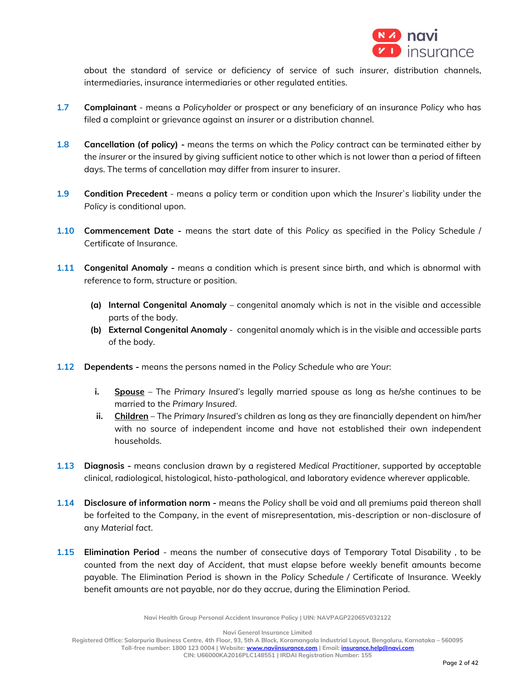

about the standard of service or deficiency of service of such *insurer*, distribution channels, intermediaries, insurance intermediaries or other regulated entities.

- **1.7 Complainant** means a *Policyholder* or prospect or any beneficiary of an insurance *Policy* who has filed a complaint or grievance against an *insurer* or a distribution channel.
- **1.8 Cancellation (of policy) -** means the terms on which the *Policy* contract can be terminated either by the *insurer* or the insured by giving sufficient notice to other which is not lower than a period of fifteen days. The terms of cancellation may differ from insurer to insurer.
- **1.9 Condition Precedent** means a policy term or condition upon which the *Insurer`s* liability under the *Policy* is conditional upon.
- **1.10 Commencement Date -** means the start date of this *Policy* as specified in the Policy Schedule / Certificate of Insurance.
- **1.11 Congenital Anomaly -** means a condition which is present since birth, and which is abnormal with reference to form, structure or position.
	- **(a) Internal Congenital Anomaly** congenital anomaly which is not in the visible and accessible parts of the body.
	- **(b) External Congenital Anomaly** congenital anomaly which is in the visible and accessible parts of the body.
- **1.12 Dependents -** means the persons named in the *Policy Schedule* who are *Your*:
	- **i. Spouse** The *Primary Insured's* legally married spouse as long as he/she continues to be married to the *Primary Insured*.
	- **ii. Children** The *Primary Insured's* children as long as they are financially dependent on him/her with no source of independent income and have not established their own independent households.
- **1.13 Diagnosis -** means conclusion drawn by a registered *Medical Practitioner*, supported by acceptable clinical, radiological, histological, histo-pathological, and laboratory evidence wherever applicable.
- **1.14 Disclosure of information norm -** means the *Policy* shall be void and all premiums paid thereon shall be forfeited to the Company, in the event of misrepresentation, mis-description or non-disclosure of any *Material fact*.
- **1.15 Elimination Period**  means the number of consecutive days of Temporary Total Disability , to be counted from the next day of *Accident*, that must elapse before weekly benefit amounts become payable. The Elimination Period is shown in the *Policy Schedule /* Certificate of Insurance. Weekly benefit amounts are not payable, nor do they accrue, during the Elimination Period.

**Navi Health Group Personal Accident Insurance Policy | UIN: NAVPAGP22065V032122**

**Navi General Insurance Limited**

**Registered Office: Salarpuria Business Centre, 4th Floor, 93, 5th A Block, Koramangala Industrial Layout, Bengaluru, Karnataka – 560095 Toll-free number: 1800 123 0004 | Website[: www.naviinsurance.com](http://www.naviinsurance.com/) | Email: [insurance.help@navi.com](mailto:insurance.help@navi.com)**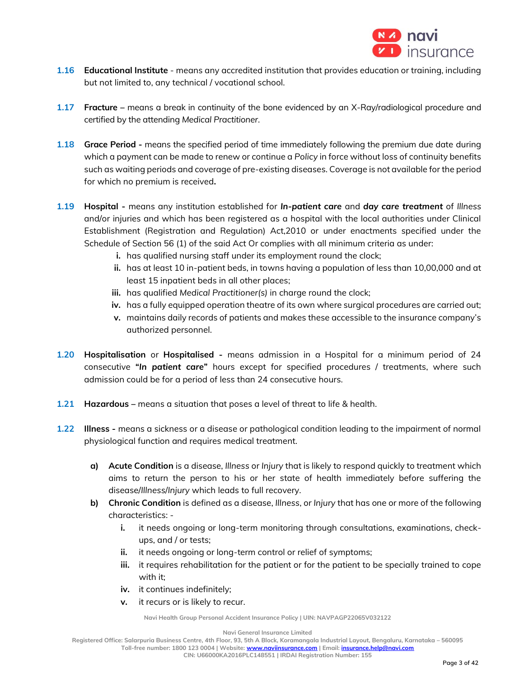

- **1.16 Educational Institute** means any accredited institution that provides education or training, including but not limited to, any technical / vocational school.
- **1.17 Fracture –** means a break in continuity of the bone evidenced by an X-Ray/radiological procedure and certified by the attending *Medical Practitioner*.
- **1.18 Grace Period -** means the specified period of time immediately following the premium due date during which a payment can be made to renew or continue a *Policy* in force without loss of continuity benefits such as waiting periods and coverage of pre-existing diseases. Coverage is not available for the period for which no premium is received**.**
- **1.19 Hospital -** means any institution established for *In-patient care* and *day care treatment* of *Illness* and/or injuries and which has been registered as a hospital with the local authorities under Clinical Establishment (Registration and Regulation) Act,2010 or under enactments specified under the Schedule of Section 56 (1) of the said Act Or complies with all minimum criteria as under:
	- **i.** has qualified nursing staff under its employment round the clock;
	- **ii.** has at least 10 in-patient beds, in towns having a population of less than 10,00,000 and at least 15 inpatient beds in all other places;
	- **iii.** has qualified *Medical Practitioner(s)* in charge round the clock;
	- **iv.** has a fully equipped operation theatre of its own where surgical procedures are carried out;
	- **v.** maintains daily records of patients and makes these accessible to the insurance company's authorized personnel.
- **1.20 Hospitalisation** or **Hospitalised -** means admission in a Hospital for a minimum period of 24 consecutive **"***In patient care***"** hours except for specified procedures / treatments, where such admission could be for a period of less than 24 consecutive hours.
- **1.21 Hazardous –** means a situation that poses a level of threat to [life](http://en.wikipedia.org/wiki/Life) & [health.](http://en.wikipedia.org/wiki/Health)
- **1.22 Illness -** means a sickness or a disease or pathological condition leading to the impairment of normal physiological function and requires medical treatment.
	- **a) Acute Condition** is a disease, *Illness* or *Injury* that is likely to respond quickly to treatment which aims to return the person to his or her state of health immediately before suffering the disease/*Illness*/*Injury* which leads to full recovery.
	- **b) Chronic Condition** is defined as a disease, *Illness*, or *Injury* that has one or more of the following characteristics:
		- **i.** it needs ongoing or long-term monitoring through consultations, examinations, checkups, and / or tests;
		- **ii.** it needs ongoing or long-term control or relief of symptoms;
		- **iii.** it requires rehabilitation for the patient or for the patient to be specially trained to cope with it:
		- **iv.** it continues indefinitely;
		- **v.** it recurs or is likely to recur.

**Navi General Insurance Limited**

**Registered Office: Salarpuria Business Centre, 4th Floor, 93, 5th A Block, Koramangala Industrial Layout, Bengaluru, Karnataka – 560095**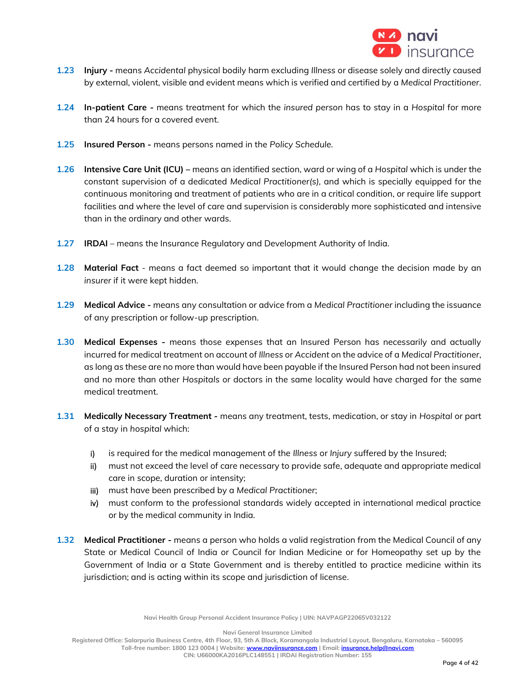

- **1.23 Injury -** means *Accidental* physical bodily harm excluding *Illness* or disease solely and directly caused by external, violent, visible and evident means which is verified and certified by a *Medical Practitioner*.
- **1.24 In-patient Care -** means treatment for which the *insured person* has to stay in a *Hospital* for more than 24 hours for a covered event.
- **1.25 Insured Person -** means persons named in the *Policy Schedule.*
- **1.26 Intensive Care Unit (ICU) –** means an identified section, ward or wing of a *Hospital* which is under the constant supervision of a dedicated *Medical Practitioner(s),* and which is specially equipped for the continuous monitoring and treatment of patients who are in a critical condition, or require life support facilities and where the level of care and supervision is considerably more sophisticated and intensive than in the ordinary and other wards.
- **1.27 IRDAI** means the Insurance Regulatory and Development Authority of India.
- **1.28 Material Fact** means a fact deemed so important that it would [change](http://www.investorwords.com/7046/change.html) the [decision](http://www.investorwords.com/19281/decision.html) made by an *[insurer](http://www.investorwords.com/2523/insurer.html)* if it were kept hidden.
- **1.29 Medical Advice -** means any consultation or advice from a *Medical Practitioner* including the issuance of any prescription or follow-up prescription.
- **1.30 Medical Expenses -** means those expenses that an Insured Person has necessarily and actually incurred for medical treatment on account of *Illness* or *Accident* on the advice of a *Medical Practitioner*, as long as these are no more than would have been payable if the Insured Person had not been insured and no more than other *Hospitals* or doctors in the same locality would have charged for the same medical treatment.
- **1.31 Medically Necessary Treatment -** means any treatment, tests, medication, or stay in *Hospital* or part of a stay in *hospital* which:
	- i) is required for the medical management of the *Illness* or *Injury* suffered by the Insured;
	- ii) must not exceed the level of care necessary to provide safe, adequate and appropriate medical care in scope, duration or intensity;
	- iii) must have been prescribed by a *Medical Practitioner*;
	- iv) must conform to the professional standards widely accepted in international medical practice or by the medical community in India.
- **1.32 Medical Practitioner -** means a person who holds a valid registration from the Medical Council of any State or Medical Council of India or Council for Indian Medicine or for Homeopathy set up by the Government of India or a State Government and is thereby entitled to practice medicine within its jurisdiction; and is acting within its scope and jurisdiction of license.

**Navi General Insurance Limited**

**Registered Office: Salarpuria Business Centre, 4th Floor, 93, 5th A Block, Koramangala Industrial Layout, Bengaluru, Karnataka – 560095 Toll-free number: 1800 123 0004 | Website[: www.naviinsurance.com](http://www.naviinsurance.com/) | Email: [insurance.help@navi.com](mailto:insurance.help@navi.com)**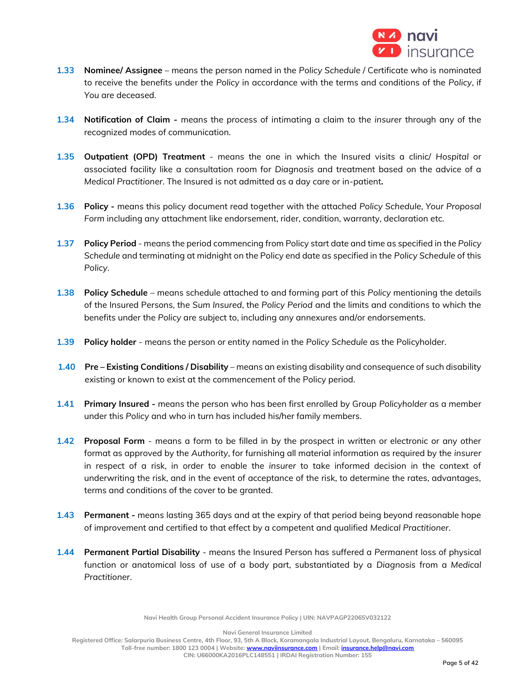

- **1.33 Nominee/ Assignee** means the person named in the *Policy Schedule* / Certificate who is nominated to receive the benefits under the *Policy* in accordance with the terms and conditions of the *Policy*, if *You* are deceased.
- **1.34 Notification of Claim -** means the process of intimating a claim to the *insurer* through any of the recognized modes of communication.
- **1.35 Outpatient (OPD) Treatment** means the one in which the Insured visits a clinic/ *Hospital* or associated facility like a consultation room for *Diagnosis* and treatment based on the advice of a *Medical Practitioner*. The Insured is not admitted as a day care or in-patient**.**
- **1.36 Policy -** means this policy document read together with the attached *Policy Schedule*, *Your Proposal Form* including any attachment like endorsement, rider, condition, warranty, declaration etc.
- **1.37 Policy Period** means the period commencing from Policy start date and time as specified in the *Policy Schedule* and terminating at midnight on the Policy end date as specified in the *Policy Schedule* of this *Policy*.
- **1.38 Policy Schedule** means schedule attached to and forming part of this *Policy* mentioning the details of the Insured Persons, the *Sum Insured*, the *Policy Period* and the limits and conditions to which the benefits under the *Policy* are subject to, including any annexures and/or endorsements.
- **1.39 Policy holder** means the person or entity named in the *Policy Schedule* as the Policyholder.
- **1.40 Pre – Existing Conditions / Disability** means an existing disability and consequence of such disability existing or known to exist at the commencement of the Policy period.
- **1.41 Primary Insured -** means the person who has been first enrolled by Group *Policyholder* as a member under this *Policy* and who in turn has included his/her family members.
- **1.42 Proposal Form**  means a form to be filled in by the prospect in written or electronic or any other format as approved by the *Authority*, for furnishing all material information as required by the *insurer* in respect of a risk, in order to enable the *insurer* to take informed decision in the context of underwriting the risk, and in the event of acceptance of the risk, to determine the rates, advantages, terms and conditions of the cover to be granted.
- **1.43 Permanent -** means lasting 365 days and at the expiry of that period being beyond reasonable hope of improvement and certified to that effect by a competent and qualified *Medical Practitioner*.
- **1.44 Permanent Partial Disability**  means the Insured Person has suffered a *Permanent* loss of physical function or anatomical loss of use of a body part, substantiated by a *Diagnosis* from a *Medical Practitioner*.

**Navi General Insurance Limited**

**Registered Office: Salarpuria Business Centre, 4th Floor, 93, 5th A Block, Koramangala Industrial Layout, Bengaluru, Karnataka – 560095 Toll-free number: 1800 123 0004 | Website[: www.naviinsurance.com](http://www.naviinsurance.com/) | Email: [insurance.help@navi.com](mailto:insurance.help@navi.com)**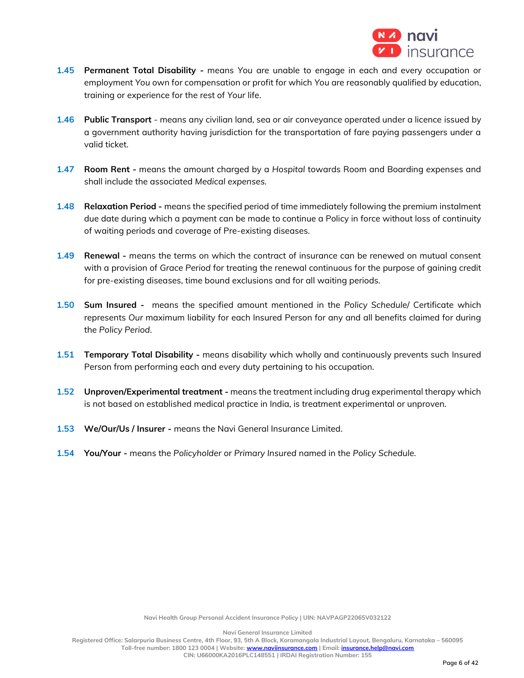

- **1.45 Permanent Total Disability -** means *You* are unable to engage in each and every occupation or employment *You* own for compensation or profit for which *You* are reasonably qualified by education, training or experience for the rest of *Your* life.
- **1.46 Public Transport**  means any civilian land, sea or air conveyance operated under a licence issued by a government authority having jurisdiction for the transportation of fare paying passengers under a valid ticket.
- **1.47 Room Rent -** means the amount charged by a *Hospital* towards Room and Boarding expenses and shall include the associated *Medical expenses.*
- **1.48 Relaxation Period -** means the specified period of time immediately following the premium instalment due date during which a payment can be made to continue a Policy in force without loss of continuity of waiting periods and coverage of Pre-existing diseases.
- **1.49 Renewal -** means the terms on which the contract of insurance can be renewed on mutual consent with a provision of *Grace Period* for treating the renewal continuous for the purpose of gaining credit for pre-existing diseases, time bound exclusions and for all waiting periods.
- **1.50 Sum Insured** means the specified amount mentioned in the *Policy Schedule*/ Certificate which represents *Our* maximum liability for each Insured Person for any and all benefits claimed for during the *Policy Period*.
- **1.51 Temporary Total Disability -** means disability which wholly and continuously prevents such Insured Person from performing each and every duty pertaining to his occupation.
- **1.52 Unproven/Experimental treatment -** means the treatment including drug experimental therapy which is not based on established medical practice in India, is treatment experimental or unproven.
- **1.53 We/Our/Us / Insurer -** means the Navi General Insurance Limited.
- **1.54 You/Your -** means the *Policyholder* or *Primary Insured* named in the *Policy Schedule.*

**Navi General Insurance Limited**

**Registered Office: Salarpuria Business Centre, 4th Floor, 93, 5th A Block, Koramangala Industrial Layout, Bengaluru, Karnataka – 560095 Toll-free number: 1800 123 0004 | Website[: www.naviinsurance.com](http://www.naviinsurance.com/) | Email: [insurance.help@navi.com](mailto:insurance.help@navi.com)**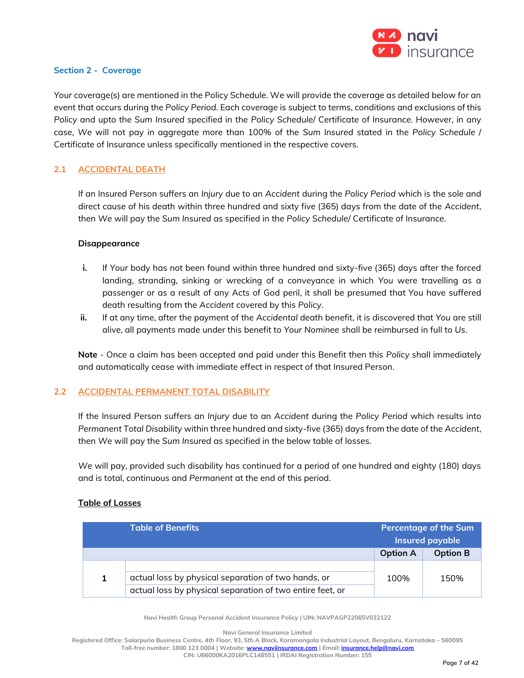

### **Section 2 - Coverage**

*Your* coverage(s) are mentioned in the Policy Schedule. We will provide the coverage as detailed below for an event that occurs during the *Policy Period*. Each coverage is subject to terms, conditions and exclusions of this *Policy* and upto the *Sum Insured* specified in the *Policy Schedule*/ Certificate of Insurance. However, in any case, *We* will not pay in aggregate more than 100% of the *Sum Insured* stated in the *Policy Schedule* / Certificate of Insurance unless specifically mentioned in the respective covers.

# **2.1 ACCIDENTAL DEATH**

If an Insured Person suffers an *Injury* due to an *Accident* during the *Policy Period* which is the sole and direct cause of his death within three hundred and sixty five (365) days from the date of the *Accident*, then *We* will pay the *Sum Insured* as specified in the *Policy Schedule*/ Certificate of Insurance.

### **Disappearance**

- **i.** If *Your* body has not been found within three hundred and sixty-five (365) days after the forced landing, stranding, sinking or wrecking of a conveyance in which *You* were travelling as a passenger or as a result of any Acts of God peril, it shall be presumed that *You* have suffered death resulting from the *Accident* covered by this *Policy*.
- **ii.** If at any time, after the payment of the *Accidental* death benefit, it is discovered that *You* are still alive, all payments made under this benefit to *Your Nominee* shall be reimbursed in full to *Us*.

**Note** - Once a claim has been accepted and paid under this Benefit then this *Policy* shall immediately and automatically cease with immediate effect in respect of that Insured Person.

# **2.2 ACCIDENTAL PERMANENT TOTAL DISABILITY**

If the Insured Person suffers an *Injury* due to an *Accident* during the *Policy Period* which results into *Permanent Total Disability* within three hundred and sixty-five (365) days from the date of the *Accident*, then *We* will pay the *Sum Insured* as specified in the below table of losses.

*We* will pay, provided such disability has continued for a period of one hundred and eighty (180) days and is total, continuous and *Permanent* at the end of this period.

# **Table of Losses**

| <b>Table of Benefits</b> |                                                           | <b>Percentage of the Sum</b><br>Insured payable |                 |
|--------------------------|-----------------------------------------------------------|-------------------------------------------------|-----------------|
|                          |                                                           | <b>Option A</b>                                 | <b>Option B</b> |
|                          |                                                           |                                                 |                 |
|                          | actual loss by physical separation of two hands, or       | 100%                                            | 150%            |
|                          | actual loss by physical separation of two entire feet, or |                                                 |                 |

**Navi Health Group Personal Accident Insurance Policy | UIN: NAVPAGP22065V032122**

**Navi General Insurance Limited**

**Registered Office: Salarpuria Business Centre, 4th Floor, 93, 5th A Block, Koramangala Industrial Layout, Bengaluru, Karnataka – 560095 Toll-free number: 1800 123 0004 | Website[: www.naviinsurance.com](http://www.naviinsurance.com/) | Email: [insurance.help@navi.com](mailto:insurance.help@navi.com)**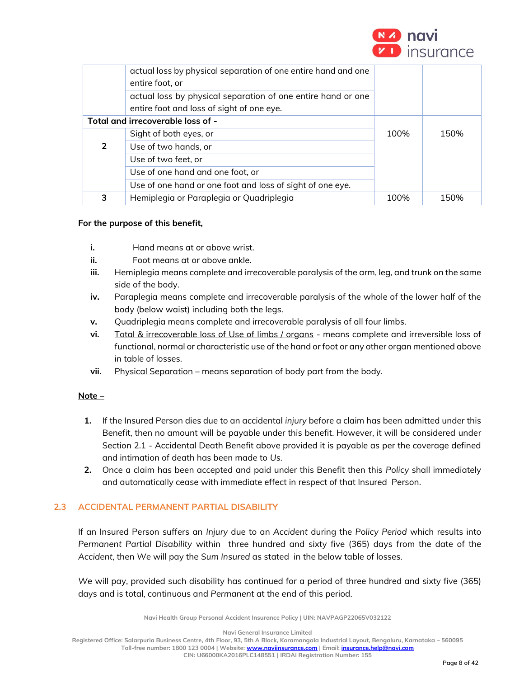

|                                   | actual loss by physical separation of one entire hand and one<br>entire foot, or |      |      |
|-----------------------------------|----------------------------------------------------------------------------------|------|------|
|                                   | actual loss by physical separation of one entire hand or one                     |      |      |
|                                   | entire foot and loss of sight of one eye.                                        |      |      |
| Total and irrecoverable loss of - |                                                                                  |      |      |
|                                   | Sight of both eyes, or                                                           | 100% | 150% |
| 2                                 | Use of two hands, or                                                             |      |      |
|                                   | Use of two feet, or                                                              |      |      |
|                                   | Use of one hand and one foot, or                                                 |      |      |
|                                   | Use of one hand or one foot and loss of sight of one eye.                        |      |      |
| 3                                 | Hemiplegia or Paraplegia or Quadriplegia                                         | 100% | 150% |

## **For the purpose of this benefit,**

- **i.** Hand means at or above wrist.
- **ii.** Foot means at or above ankle.
- **iii.** Hemiplegia means complete and irrecoverable paralysis of the arm, leg, and trunk on the same side of the body.
- **iv.** Paraplegia means complete and irrecoverable paralysis of the whole of the lower half of the body (below waist) including both the legs.
- **v.** Quadriplegia means complete and irrecoverable paralysis of all four limbs.
- **vi.** Total & irrecoverable loss of Use of limbs / organs means complete and irreversible loss of functional, normal or characteristic use of the hand or foot or any other organ mentioned above in table of losses.
- vii. Physical Separation means separation of body part from the body.

### **Note –**

- **1.** If the Insured Person dies due to an accidental *injury* before a claim has been admitted under this Benefit, then no amount will be payable under this benefit. However, it will be considered under Section 2.1 - Accidental Death Benefit above provided it is payable as per the coverage defined and intimation of death has been made to *Us.*
- **2.** Once a claim has been accepted and paid under this Benefit then this *Policy* shall immediately and automatically cease with immediate effect in respect of that Insured Person.

# **2.3 ACCIDENTAL PERMANENT PARTIAL DISABILITY**

If an Insured Person suffers an *Injury* due to an *Accident* during the *Policy Period* which results into *Permanent Partial Disability* within three hundred and sixty five (365) days from the date of the *Accident*, then *We* will pay the *Sum Insured* as stated in the below table of losses.

*We* will pay, provided such disability has continued for a period of three hundred and sixty five (365) days and is total, continuous and *Permanent* at the end of this period.

**Navi Health Group Personal Accident Insurance Policy | UIN: NAVPAGP22065V032122**

**Navi General Insurance Limited**

**Registered Office: Salarpuria Business Centre, 4th Floor, 93, 5th A Block, Koramangala Industrial Layout, Bengaluru, Karnataka – 560095 Toll-free number: 1800 123 0004 | Website[: www.naviinsurance.com](http://www.naviinsurance.com/) | Email: [insurance.help@navi.com](mailto:insurance.help@navi.com)**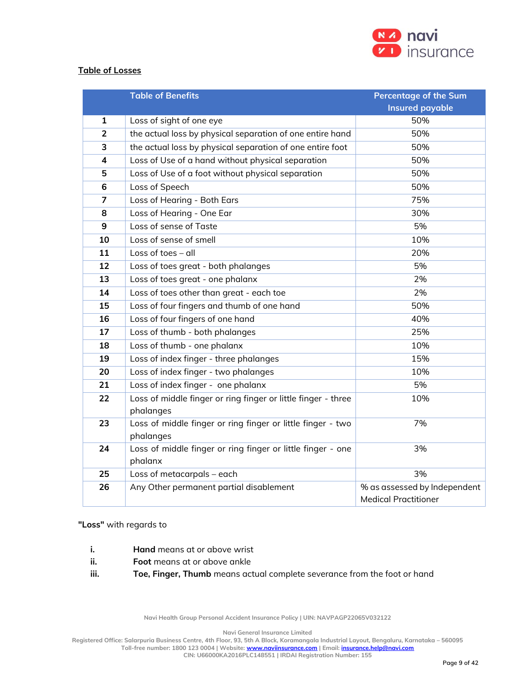

## **Table of Losses**

|                | <b>Table of Benefits</b>                                      | <b>Percentage of the Sum</b> |
|----------------|---------------------------------------------------------------|------------------------------|
|                |                                                               | <b>Insured payable</b>       |
| 1              | Loss of sight of one eye                                      | 50%                          |
| $\overline{2}$ | the actual loss by physical separation of one entire hand     | 50%                          |
| 3              | the actual loss by physical separation of one entire foot     | 50%                          |
| 4              | Loss of Use of a hand without physical separation             | 50%                          |
| 5              | Loss of Use of a foot without physical separation             | 50%                          |
| 6              | Loss of Speech                                                | 50%                          |
| $\overline{7}$ | Loss of Hearing - Both Ears                                   | 75%                          |
| 8              | Loss of Hearing - One Ear                                     | 30%                          |
| 9              | Loss of sense of Taste                                        | 5%                           |
| 10             | Loss of sense of smell                                        | 10%                          |
| 11             | Loss of toes $-$ all                                          | 20%                          |
| 12             | Loss of toes great - both phalanges                           | 5%                           |
| 13             | Loss of toes great - one phalanx                              | 2%                           |
| 14             | Loss of toes other than great - each toe                      | 2%                           |
| 15             | Loss of four fingers and thumb of one hand                    | 50%                          |
| 16             | Loss of four fingers of one hand                              | 40%                          |
| 17             | Loss of thumb - both phalanges                                | 25%                          |
| 18             | Loss of thumb - one phalanx                                   | 10%                          |
| 19             | Loss of index finger - three phalanges                        | 15%                          |
| 20             | Loss of index finger - two phalanges                          | 10%                          |
| 21             | Loss of index finger - one phalanx                            | 5%                           |
| 22             | Loss of middle finger or ring finger or little finger - three | 10%                          |
|                | phalanges                                                     |                              |
| 23             | Loss of middle finger or ring finger or little finger - two   | 7%                           |
|                | phalanges                                                     |                              |
| 24             | Loss of middle finger or ring finger or little finger - one   | 3%                           |
|                | phalanx                                                       |                              |
| 25             | Loss of metacarpals - each                                    | 3%                           |
| 26             | Any Other permanent partial disablement                       | % as assessed by Independent |
|                |                                                               | <b>Medical Practitioner</b>  |

## **"Loss"** with regards to

- **i. Hand** means at or above wrist
- **ii. Foot** means at or above ankle
- **iii. Toe, Finger, Thumb** means actual complete severance from the foot or hand

**Navi Health Group Personal Accident Insurance Policy | UIN: NAVPAGP22065V032122**

**Navi General Insurance Limited**

**Registered Office: Salarpuria Business Centre, 4th Floor, 93, 5th A Block, Koramangala Industrial Layout, Bengaluru, Karnataka – 560095**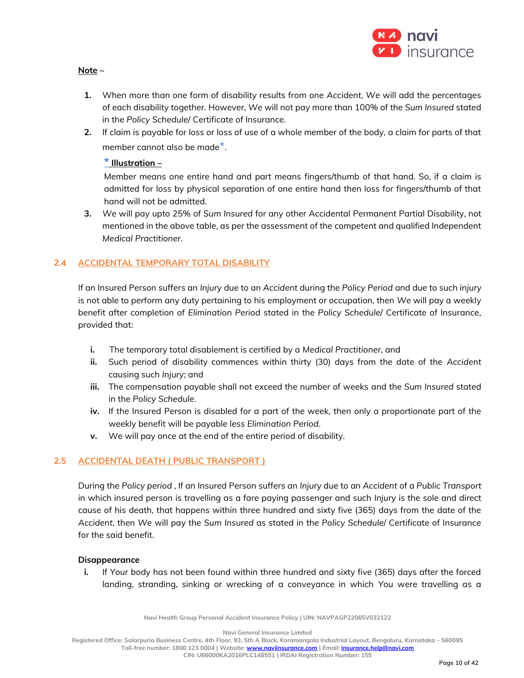

## **Note –**

- **1.** When more than one form of disability results from one *Accident*, *We* will add the percentages of each disability together. However, *We* will not pay more than 100% of the *Sum Insured* stated in the *Policy Schedule*/ Certificate of Insurance.
- **2.** If claim is payable for loss or loss of use of a whole member of the body, a claim for parts of that member cannot also be made $^{\star}$ .

# **\* Illustration –**

Member means one entire hand and part means fingers/thumb of that hand. So, if a claim is admitted for loss by physical separation of one entire hand then loss for fingers/thumb of that hand will not be admitted.

**3.** *We* will pay upto 25% of *Sum Insured* for any other Accidental Permanent Partial Disability, not mentioned in the above table, as per the assessment of the competent and qualified Independent *Medical Practitioner*.

# **2.4 ACCIDENTAL TEMPORARY TOTAL DISABILITY**

If an Insured Person suffers an *Injury* due to an *Accident* during the *Policy Period* and due to such *injury* is not able to perform any duty pertaining to his employment or occupation, then *We* will pay a weekly benefit after completion of *Elimination Period* stated in the *Policy Schedule*/ Certificate of Insurance, provided that:

- **i.** The temporary total disablement is certified by a *Medical Practitioner*, and
- **ii.** Such period of disability commences within thirty (30) days from the date of the *Accident* causing such *Injury*; and
- **iii.** The compensation payable shall not exceed the number of weeks and the *Sum Insured* stated in the *Policy Schedule*.
- **iv.** If the Insured Person is disabled for a part of the week, then only a proportionate part of the weekly benefit will be payable less *Elimination Period*.
- **v.** We will pay once at the end of the entire period of disability.

# **2.5 ACCIDENTAL DEATH ( PUBLIC TRANSPORT )**

During the *Policy period* , If an Insured Person suffers an *Injury* due to an *Accident* of a *Public Transport* in which insured person is travelling as a fare paying passenger and such *Injury* is the sole and direct cause of his death, that happens within three hundred and sixty five (365) days from the date of the *Accident*, then *We* will pay the *Sum Insured* as stated in the *Policy Schedule*/ Certificate of Insurance for the said benefit.

# **Disappearance**

**i.** If *Your* body has not been found within three hundred and sixty five (365) days after the forced landing, stranding, sinking or wrecking of a conveyance in which *You* were travelling as a

**Navi Health Group Personal Accident Insurance Policy | UIN: NAVPAGP22065V032122**

**Navi General Insurance Limited**

**Registered Office: Salarpuria Business Centre, 4th Floor, 93, 5th A Block, Koramangala Industrial Layout, Bengaluru, Karnataka – 560095**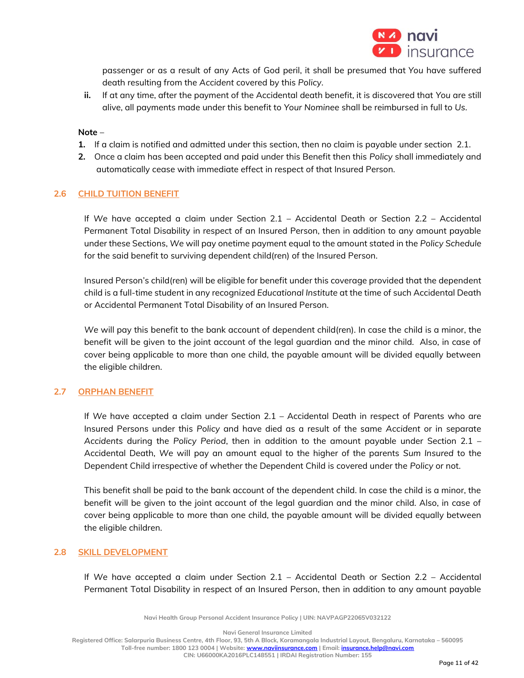

passenger or as a result of any Acts of God peril, it shall be presumed that *You* have suffered death resulting from the *Accident* covered by this *Policy*.

**ii.** If at any time, after the payment of the Accidental death benefit, it is discovered that *You* are still alive, all payments made under this benefit to *Your Nominee* shall be reimbursed in full to *Us*.

### **Note** –

- **1.** If a claim is notified and admitted under this section, then no claim is payable under section 2.1.
- **2.** Once a claim has been accepted and paid under this Benefit then this *Policy* shall immediately and automatically cease with immediate effect in respect of that Insured Person.

## **2.6 CHILD TUITION BENEFIT**

If *We* have accepted a claim under Section 2.1 – Accidental Death or Section 2.2 – Accidental Permanent Total Disability in respect of an Insured Person, then in addition to any amount payable under these Sections, *We* will pay onetime payment equal to the amount stated in the *Policy Schedule* for the said benefit to surviving dependent child(ren) of the Insured Person.

Insured Person's child(ren) will be eligible for benefit under this coverage provided that the dependent child is a full-time student in any recognized *Educational Institute* at the time of such Accidental Death or Accidental Permanent Total Disability of an Insured Person.

*We* will pay this benefit to the bank account of dependent child(ren). In case the child is a minor, the benefit will be given to the joint account of the legal guardian and the minor child. Also, in case of cover being applicable to more than one child, the payable amount will be divided equally between the eligible children.

### **2.7 ORPHAN BENEFIT**

If *We* have accepted a claim under Section 2.1 – Accidental Death in respect of Parents who are Insured Persons under this *Policy* and have died as a result of the same *Accident* or in separate *Accidents* during the *Policy Period*, then in addition to the amount payable under Section 2.1 – Accidental Death, *We* will pay an amount equal to the higher of the parents *Sum Insured* to the Dependent Child irrespective of whether the Dependent Child is covered under the *Policy* or not.

This benefit shall be paid to the bank account of the dependent child. In case the child is a minor, the benefit will be given to the joint account of the legal guardian and the minor child. Also, in case of cover being applicable to more than one child, the payable amount will be divided equally between the eligible children.

### **2.8 SKILL DEVELOPMENT**

If *We* have accepted a claim under Section 2.1 – Accidental Death or Section 2.2 – Accidental Permanent Total Disability in respect of an Insured Person, then in addition to any amount payable

**Navi Health Group Personal Accident Insurance Policy | UIN: NAVPAGP22065V032122**

**Navi General Insurance Limited**

**Registered Office: Salarpuria Business Centre, 4th Floor, 93, 5th A Block, Koramangala Industrial Layout, Bengaluru, Karnataka – 560095**

**Toll-free number: 1800 123 0004 | Website[: www.naviinsurance.com](http://www.naviinsurance.com/) | Email: [insurance.help@navi.com](mailto:insurance.help@navi.com)**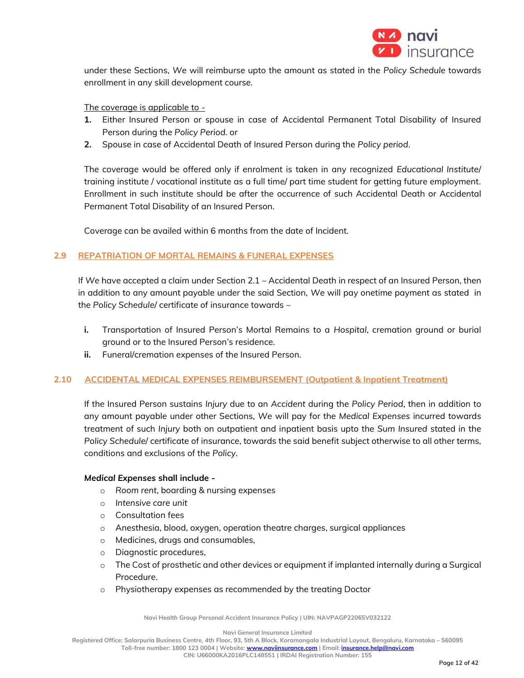

under these Sections, *We* will reimburse upto the amount as stated in the *Policy Schedule* towards enrollment in any skill development course.

## The coverage is applicable to -

- **1.** Either Insured Person or spouse in case of Accidental Permanent Total Disability of Insured Person during the *Policy Period*. or
- **2.** Spouse in case of Accidental Death of Insured Person during the *Policy period*.

The coverage would be offered only if enrolment is taken in any recognized *Educational Institute*/ training institute / vocational institute as a full time/ part time student for getting future employment. Enrollment in such institute should be after the occurrence of such Accidental Death or Accidental Permanent Total Disability of an Insured Person.

Coverage can be availed within 6 months from the date of Incident.

# **2.9 REPATRIATION OF MORTAL REMAINS & FUNERAL EXPENSES**

If *We* have accepted a claim under Section 2.1 – Accidental Death in respect of an Insured Person, then in addition to any amount payable under the said Section, *We* will pay onetime payment as stated in the *Policy Schedule*/ certificate of insurance towards –

- **i.** Transportation of Insured Person's Mortal Remains to a *Hospital*, cremation ground or burial ground or to the Insured Person's residence.
- **ii.** Funeral/cremation expenses of the Insured Person.

### **2.10 ACCIDENTAL MEDICAL EXPENSES REIMBURSEMENT (Outpatient & Inpatient Treatment)**

If the Insured Person sustains *Injury* due to an *Accident* during the *Policy Period*, then in addition to any amount payable under other Sections, *We* will pay for the *Medical Expenses* incurred towards treatment of such *Injury* both on outpatient and inpatient basis upto the *Sum Insured* stated in the *Policy Schedule*/ certificate of insurance, towards the said benefit subject otherwise to all other terms, conditions and exclusions of the *Policy*.

### *Medical Expenses* **shall include -**

- o *Room rent*, boarding & nursing expenses
- o *Intensive care unit*
- o Consultation fees
- o Anesthesia, blood, oxygen, operation theatre charges, surgical appliances
- o Medicines, drugs and consumables,
- o Diagnostic procedures,
- o The Cost of prosthetic and other devices or equipment if implanted internally during a Surgical Procedure.
- o Physiotherapy expenses as recommended by the treating Doctor

**Navi Health Group Personal Accident Insurance Policy | UIN: NAVPAGP22065V032122**

**Navi General Insurance Limited**

**Registered Office: Salarpuria Business Centre, 4th Floor, 93, 5th A Block, Koramangala Industrial Layout, Bengaluru, Karnataka – 560095**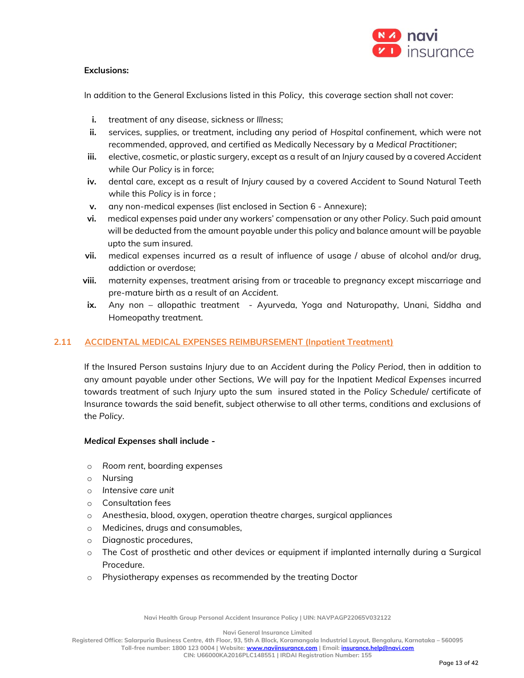

# **Exclusions:**

In addition to the General Exclusions listed in this *Policy*, this coverage section shall not cover:

- **i.** treatment of any disease, sickness or *Illness*;
- **ii.** services, supplies, or treatment, including any period of *Hospital* confinement, which were not recommended, approved, and certified as Medically Necessary by a *Medical Practitioner*;
- **iii.** elective, cosmetic, or plastic surgery, except as a result of an *Injury* caused by a covered *Accident* while Our *Policy* is in force;
- **iv.** dental care, except as a result of *Injury* caused by a covered *Accident* to Sound Natural Teeth while this *Policy* is in force ;
- **v.** any non-medical expenses (list enclosed in Section 6 Annexure);
- **vi.** medical expenses paid under any workers' compensation or any other *Policy*. Such paid amount will be deducted from the amount payable under this policy and balance amount will be payable upto the sum insured.
- **vii.** medical expenses incurred as a result of influence of usage / abuse of alcohol and/or drug, addiction or overdose;
- **viii.** maternity expenses, treatment arising from or traceable to pregnancy except miscarriage and pre-mature birth as a result of an *Accident*.
- ix. Any non allopathic treatment Ayurveda, Yoga and Naturopathy, Unani, Siddha and Homeopathy treatment.

# **2.11 ACCIDENTAL MEDICAL EXPENSES REIMBURSEMENT (Inpatient Treatment)**

If the Insured Person sustains *Injury* due to an *Accident* during the *Policy Period*, then in addition to any amount payable under other Sections, *We* will pay for the Inpatient *Medical Expenses* incurred towards treatment of such *Injury* upto the sum insured stated in the *Policy Schedule*/ certificate of Insurance towards the said benefit, subject otherwise to all other terms, conditions and exclusions of the *Policy*.

### *Medical Expenses* **shall include -**

- o *Room rent*, boarding expenses
- o Nursing
- o *Intensive care unit*
- o Consultation fees
- o Anesthesia, blood, oxygen, operation theatre charges, surgical appliances
- o Medicines, drugs and consumables,
- o Diagnostic procedures,
- o The Cost of prosthetic and other devices or equipment if implanted internally during a Surgical Procedure.
- o Physiotherapy expenses as recommended by the treating Doctor

**Navi Health Group Personal Accident Insurance Policy | UIN: NAVPAGP22065V032122**

**Navi General Insurance Limited**

**Registered Office: Salarpuria Business Centre, 4th Floor, 93, 5th A Block, Koramangala Industrial Layout, Bengaluru, Karnataka – 560095**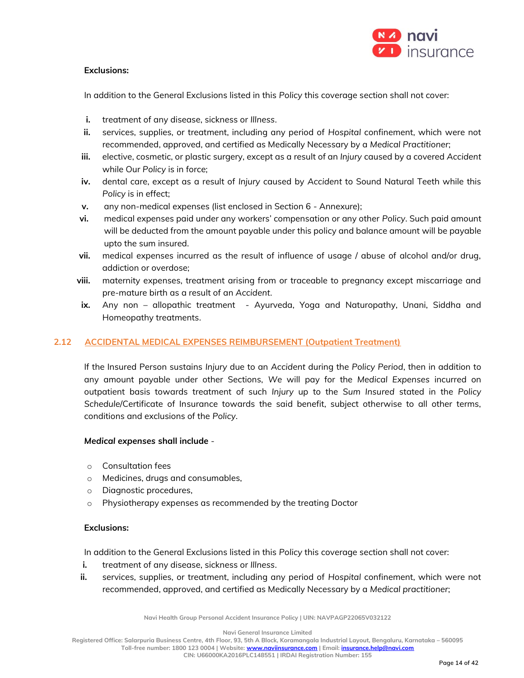

# **Exclusions:**

In addition to the General Exclusions listed in this *Policy* this coverage section shall not cover:

- **i.** treatment of any disease, sickness or *Illness*.
- **ii.** services, supplies, or treatment, including any period of *Hospital* confinement, which were not recommended, approved, and certified as Medically Necessary by a *Medical Practitioner*;
- **iii.** elective, cosmetic, or plastic surgery, except as a result of an *Injury* caused by a covered *Accident*  while Our *Policy* is in force;
- **iv.** dental care, except as a result of *Injury* caused by *Accident* to Sound Natural Teeth while this *Policy* is in effect;
- **v.** any non-medical expenses (list enclosed in Section 6 Annexure);
- **vi.** medical expenses paid under any workers' compensation or any other *Policy*. Such paid amount will be deducted from the amount payable under this policy and balance amount will be payable upto the sum insured.
- **vii.** medical expenses incurred as the result of influence of usage / abuse of alcohol and/or drug, addiction or overdose;
- **viii.** maternity expenses, treatment arising from or traceable to pregnancy except miscarriage and pre-mature birth as a result of an *Accident*.
- ix. Any non allopathic treatment Ayurveda, Yoga and Naturopathy, Unani, Siddha and Homeopathy treatments.

# **2.12 ACCIDENTAL MEDICAL EXPENSES REIMBURSEMENT (Outpatient Treatment)**

If the Insured Person sustains *Injury* due to an *Accident* during the *Policy Period*, then in addition to any amount payable under other Sections, *We* will pay for the *Medical Expenses* incurred on outpatient basis towards treatment of such *Injury* up to the *Sum Insured* stated in the *Policy Schedule*/Certificate of Insurance towards the said benefit, subject otherwise to all other terms, conditions and exclusions of the *Policy*.

### *Medical expenses* **shall include** -

- o Consultation fees
- o Medicines, drugs and consumables,
- o Diagnostic procedures,
- o Physiotherapy expenses as recommended by the treating Doctor

# **Exclusions:**

In addition to the General Exclusions listed in this *Policy* this coverage section shall not cover:

- **i.** treatment of any disease, sickness or *Illness*.
- **ii.** services, supplies, or treatment, including any period of *Hospital* confinement, which were not recommended, approved, and certified as Medically Necessary by a *Medical practitioner*;

**Navi Health Group Personal Accident Insurance Policy | UIN: NAVPAGP22065V032122**

**Navi General Insurance Limited**

**Registered Office: Salarpuria Business Centre, 4th Floor, 93, 5th A Block, Koramangala Industrial Layout, Bengaluru, Karnataka – 560095**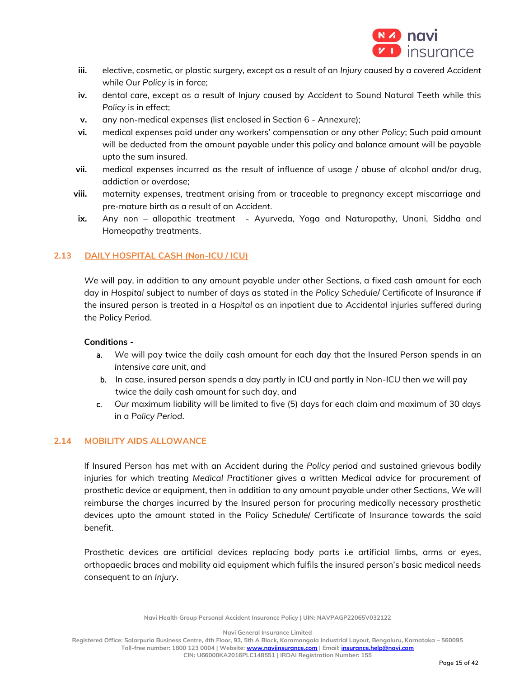

- **iii.** elective, cosmetic, or plastic surgery, except as a result of an *Injury* caused by a covered *Accident* while Our *Policy* is in force;
- **iv.** dental care, except as a result of *Injury* caused by *Accident* to Sound Natural Teeth while this *Policy* is in effect;
- **v.** any non-medical expenses (list enclosed in Section 6 Annexure);
- **vi.** medical expenses paid under any workers' compensation or any other *Policy*; Such paid amount will be deducted from the amount payable under this policy and balance amount will be payable upto the sum insured.
- **vii.** medical expenses incurred as the result of influence of usage / abuse of alcohol and/or drug, addiction or overdose;
- **viii.** maternity expenses, treatment arising from or traceable to pregnancy except miscarriage and pre-mature birth as a result of an *Accident*.
- ix. Any non allopathic treatment Ayurveda, Yoga and Naturopathy, Unani, Siddha and Homeopathy treatments.

## **2.13 DAILY HOSPITAL CASH (Non-ICU / ICU)**

*We* will pay, in addition to any amount payable under other Sections, a fixed cash amount for each day in *Hospital* subject to number of days as stated in the *Policy Schedule*/ Certificate of Insurance if the insured person is treated in a *Hospital* as an inpatient due to *Accidental* injuries suffered during the Policy Period.

### **Conditions -**

- a. *We* will pay twice the daily cash amount for each day that the Insured Person spends in an *Intensive care unit*, and
- b. In case, insured person spends a day partly in ICU and partly in Non-ICU then we will pay twice the daily cash amount for such day, and
- c. *Our* maximum liability will be limited to five (5) days for each claim and maximum of 30 days in a *Policy Period*.

### **2.14 MOBILITY AIDS ALLOWANCE**

If Insured Person has met with an *Accident* during the *Policy period* and sustained grievous bodily injuries for which treating *Medical Practitioner* gives a written *Medical advice* for procurement of prosthetic device or equipment, then in addition to any amount payable under other Sections, *We* will reimburse the charges incurred by the Insured person for procuring medically necessary prosthetic devices upto the amount stated in the *Policy Schedule*/ Certificate of Insurance towards the said benefit.

Prosthetic devices are artificial devices replacing body parts i.e artificial limbs, arms or eyes, orthopaedic braces and mobility aid equipment which fulfils the insured person's basic medical needs consequent to an *Injury*.

**Navi Health Group Personal Accident Insurance Policy | UIN: NAVPAGP22065V032122**

**Navi General Insurance Limited**

**Registered Office: Salarpuria Business Centre, 4th Floor, 93, 5th A Block, Koramangala Industrial Layout, Bengaluru, Karnataka – 560095 Toll-free number: 1800 123 0004 | Website[: www.naviinsurance.com](http://www.naviinsurance.com/) | Email: [insurance.help@navi.com](mailto:insurance.help@navi.com)**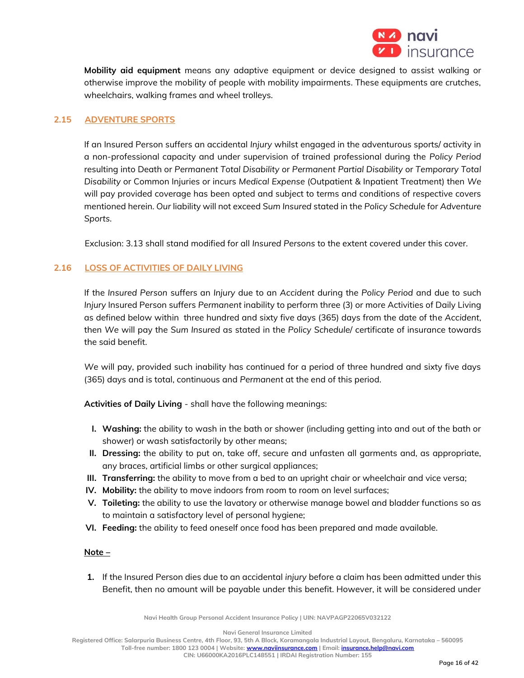

**Mobility aid equipment** means any adaptive equipment or device designed to assist walking or otherwise improve the mobility of people with mobility impairments. These equipments are crutches, wheelchairs, walking frames and wheel trolleys.

# **2.15 ADVENTURE SPORTS**

If an Insured Person suffers an accidental *Injury* whilst engaged in the adventurous sports/ activity in a non-professional capacity and under supervision of trained professional during the *Policy Period* resulting into Death or *Permanent Total Disability* or *Permanent Partial Disability* or *Temporary Total Disability* or Common Injuries or incurs *Medical Expense* (Outpatient & Inpatient Treatment) then *We* will pay provided coverage has been opted and subject to terms and conditions of respective covers mentioned herein. *Our* liability will not exceed *Sum Insured* stated in the *Policy Schedule* for *Adventure Sports*.

Exclusion: 3.13 shall stand modified for all *Insured Persons* to the extent covered under this cover.

## **2.16 LOSS OF ACTIVITIES OF DAILY LIVING**

If the *Insured Person* suffers an *Injury* due to an *Accident* during the *Policy Period* and due to such *Injury* Insured Person suffers *Permanent* inability to perform three (3) or more Activities of Daily Living as defined below within three hundred and sixty five days (365) days from the date of the *Accident*, then *We* will pay the *Sum Insured* as stated in the *Policy Schedule*/ certificate of insurance towards the said benefit.

*We* will pay, provided such inability has continued for a period of three hundred and sixty five days (365) days and is total, continuous and *Permanent* at the end of this period.

**Activities of Daily Living** - shall have the following meanings:

- **I. Washing:** the ability to wash in the bath or shower (including getting into and out of the bath or shower) or wash satisfactorily by other means;
- **II. Dressing:** the ability to put on, take off, secure and unfasten all garments and, as appropriate, any braces, artificial limbs or other surgical appliances;
- **III. Transferring:** the ability to move from a bed to an upright chair or wheelchair and vice versa;
- **IV. Mobility:** the ability to move indoors from room to room on level surfaces;
- **V. Toileting:** the ability to use the lavatory or otherwise manage bowel and bladder functions so as to maintain a satisfactory level of personal hygiene;
- **VI. Feeding:** the ability to feed oneself once food has been prepared and made available.

### **Note –**

**1.** If the Insured Person dies due to an accidental *injury* before a claim has been admitted under this Benefit, then no amount will be payable under this benefit. However, it will be considered under

**Navi Health Group Personal Accident Insurance Policy | UIN: NAVPAGP22065V032122**

**Navi General Insurance Limited**

**Registered Office: Salarpuria Business Centre, 4th Floor, 93, 5th A Block, Koramangala Industrial Layout, Bengaluru, Karnataka – 560095 Toll-free number: 1800 123 0004 | Website[: www.naviinsurance.com](http://www.naviinsurance.com/) | Email: [insurance.help@navi.com](mailto:insurance.help@navi.com)**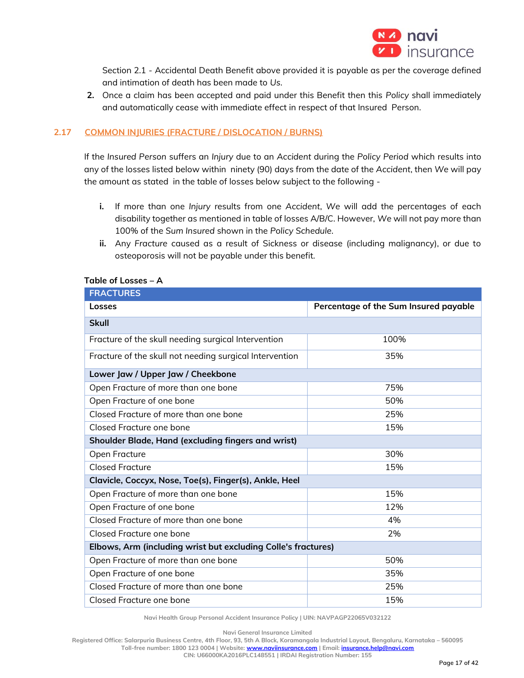

Section 2.1 - Accidental Death Benefit above provided it is payable as per the coverage defined and intimation of death has been made to *Us.*

**2.** Once a claim has been accepted and paid under this Benefit then this *Policy* shall immediately and automatically cease with immediate effect in respect of that Insured Person.

# **2.17 COMMON INJURIES (FRACTURE / DISLOCATION / BURNS)**

If the *Insured Person* suffers an *Injury* due to an *Accident* during the *Policy Period* which results into any of the losses listed below within ninety (90) days from the date of the *Accident*, then *We* will pay the amount as stated in the table of losses below subject to the following -

- **i.** If more than one *Injury* results from one *Accident*, *We* will add the percentages of each disability together as mentioned in table of losses A/B/C. However, *We* will not pay more than 100% of the *Sum Insured* shown in the *Policy Schedule*.
- **ii.** Any *Fracture* caused as a result of Sickness or disease (including malignancy), or due to osteoporosis will not be payable under this benefit.

## **Table of Losses – A**

| <b>FRACTURES</b>                                              |                                       |  |  |  |
|---------------------------------------------------------------|---------------------------------------|--|--|--|
| Losses                                                        | Percentage of the Sum Insured payable |  |  |  |
| <b>Skull</b>                                                  |                                       |  |  |  |
| Fracture of the skull needing surgical Intervention           | 100%                                  |  |  |  |
| Fracture of the skull not needing surgical Intervention       | 35%                                   |  |  |  |
| Lower Jaw / Upper Jaw / Cheekbone                             |                                       |  |  |  |
| Open Fracture of more than one bone                           | 75%                                   |  |  |  |
| Open Fracture of one bone                                     | 50%                                   |  |  |  |
| Closed Fracture of more than one bone                         | 25%                                   |  |  |  |
| Closed Fracture one bone                                      | 15%                                   |  |  |  |
| Shoulder Blade, Hand (excluding fingers and wrist)            |                                       |  |  |  |
| Open Fracture                                                 | 30%                                   |  |  |  |
| <b>Closed Fracture</b>                                        | 15%                                   |  |  |  |
| Clavicle, Coccyx, Nose, Toe(s), Finger(s), Ankle, Heel        |                                       |  |  |  |
| Open Fracture of more than one bone                           | 15%                                   |  |  |  |
| Open Fracture of one bone                                     | 12%                                   |  |  |  |
| Closed Fracture of more than one bone                         | 4%                                    |  |  |  |
| Closed Fracture one bone                                      | 2%                                    |  |  |  |
| Elbows, Arm (including wrist but excluding Colle's fractures) |                                       |  |  |  |
| Open Fracture of more than one bone                           | 50%                                   |  |  |  |
| Open Fracture of one bone                                     | 35%                                   |  |  |  |
| Closed Fracture of more than one bone                         | 25%                                   |  |  |  |
| Closed Fracture one bone                                      | 15%                                   |  |  |  |

**Navi Health Group Personal Accident Insurance Policy | UIN: NAVPAGP22065V032122**

**Navi General Insurance Limited**

**Registered Office: Salarpuria Business Centre, 4th Floor, 93, 5th A Block, Koramangala Industrial Layout, Bengaluru, Karnataka – 560095 Toll-free number: 1800 123 0004 | Website[: www.naviinsurance.com](http://www.naviinsurance.com/) | Email: [insurance.help@navi.com](mailto:insurance.help@navi.com)**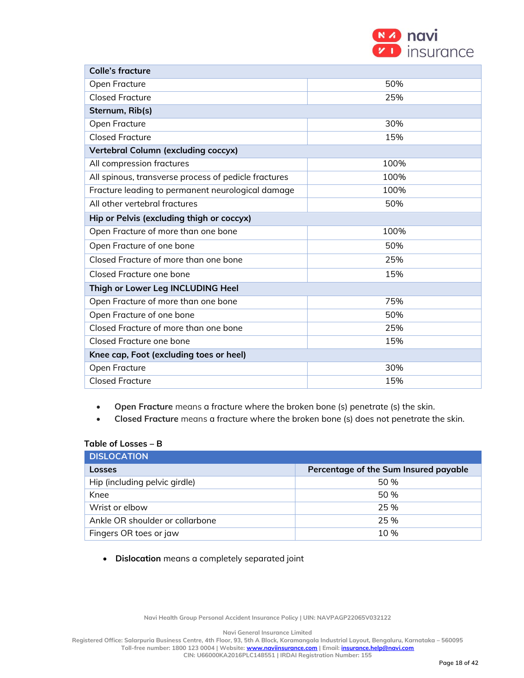| (N 4) novi         |
|--------------------|
| <b>D</b> insurance |

| <b>Colle's fracture</b>                              |      |  |  |
|------------------------------------------------------|------|--|--|
| Open Fracture                                        | 50%  |  |  |
| <b>Closed Fracture</b>                               | 25%  |  |  |
| Sternum, Rib(s)                                      |      |  |  |
| Open Fracture                                        | 30%  |  |  |
| <b>Closed Fracture</b>                               | 15%  |  |  |
| Vertebral Column (excluding coccyx)                  |      |  |  |
| All compression fractures                            | 100% |  |  |
| All spinous, transverse process of pedicle fractures | 100% |  |  |
| Fracture leading to permanent neurological damage    | 100% |  |  |
| All other vertebral fractures                        | 50%  |  |  |
| Hip or Pelvis (excluding thigh or coccyx)            |      |  |  |
| Open Fracture of more than one bone                  | 100% |  |  |
| Open Fracture of one bone                            | 50%  |  |  |
| Closed Fracture of more than one bone                | 25%  |  |  |
| Closed Fracture one bone                             | 15%  |  |  |
| Thigh or Lower Leg INCLUDING Heel                    |      |  |  |
| Open Fracture of more than one bone                  | 75%  |  |  |
| Open Fracture of one bone                            | 50%  |  |  |
| Closed Fracture of more than one bone                | 25%  |  |  |
| Closed Fracture one bone                             | 15%  |  |  |
| Knee cap, Foot (excluding toes or heel)              |      |  |  |
| Open Fracture                                        | 30%  |  |  |
| <b>Closed Fracture</b>                               | 15%  |  |  |

- **Open Fracture** means a fracture where the broken bone (s) penetrate (s) the skin.
- **Closed Fracture** means a fracture where the broken bone (s) does not penetrate the skin.

### **Table of Losses – B**

| <b>DISLOCATION</b>              |                                       |  |  |
|---------------------------------|---------------------------------------|--|--|
| Losses                          | Percentage of the Sum Insured payable |  |  |
| Hip (including pelvic girdle)   | 50%                                   |  |  |
| Knee                            | 50%                                   |  |  |
| Wrist or elbow                  | 25%                                   |  |  |
| Ankle OR shoulder or collarbone | 25%                                   |  |  |
| Fingers OR toes or jaw          | 10 %                                  |  |  |

• **Dislocation** means a completely separated joint

**Navi Health Group Personal Accident Insurance Policy | UIN: NAVPAGP22065V032122**

**Navi General Insurance Limited**

**Registered Office: Salarpuria Business Centre, 4th Floor, 93, 5th A Block, Koramangala Industrial Layout, Bengaluru, Karnataka – 560095**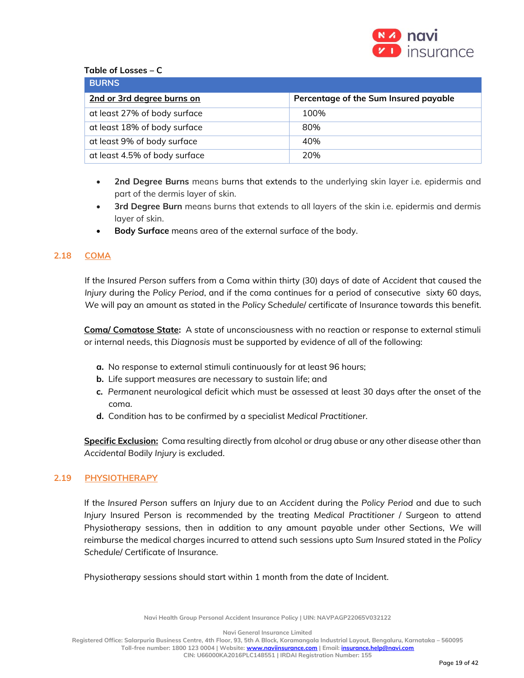

## **Table of Losses – C**

| <b>BURNS</b>                  |                                       |  |  |
|-------------------------------|---------------------------------------|--|--|
| 2nd or 3rd degree burns on    | Percentage of the Sum Insured payable |  |  |
| at least 27% of body surface  | 100%                                  |  |  |
| at least 18% of body surface  | 80%                                   |  |  |
| at least 9% of body surface   | 40%                                   |  |  |
| at least 4.5% of body surface | 20%                                   |  |  |

- **2nd Degree Burns** means burns that extends to the underlying skin layer i.e. epidermis and part of the dermis layer of skin.
- **3rd Degree Burn** means burns that extends to all layers of the skin i.e. epidermis and dermis layer of skin.
- **Body Surface** means area of the external surface of the body.

## **2.18 COMA**

If the *Insured Person* suffers from a Coma within thirty (30) days of date of *Accident* that caused the *Injury* during the *Policy Period*, and if the coma continues for a period of consecutive sixty 60 days, *We* will pay an amount as stated in the *Policy Schedule*/ certificate of Insurance towards this benefit.

**Coma/ Comatose State:** A state of unconsciousness with no reaction or response to external stimuli or internal needs, this *Diagnosis* must be supported by evidence of all of the following:

- **a.** No response to external stimuli continuously for at least 96 hours;
- **b.** Life support measures are necessary to sustain life; and
- **c.** *Permanent* neurological deficit which must be assessed at least 30 days after the onset of the coma.
- **d.** Condition has to be confirmed by a specialist *Medical Practitioner*.

**Specific Exclusion:** Coma resulting directly from alcohol or drug abuse or any other disease other than *Accidental* Bodily *Injury* is excluded.

### **2.19 PHYSIOTHERAPY**

If the *Insured Person* suffers an *Injury* due to an *Accident* during the *Policy Period* and due to such *Injury* Insured Person is recommended by the treating *Medical Practitioner* / Surgeon to attend Physiotherapy sessions, then in addition to any amount payable under other Sections, *We* will reimburse the medical charges incurred to attend such sessions upto *Sum Insured* stated in the *Policy Schedule*/ Certificate of Insurance.

Physiotherapy sessions should start within 1 month from the date of Incident.

**Navi Health Group Personal Accident Insurance Policy | UIN: NAVPAGP22065V032122**

**Navi General Insurance Limited**

**Registered Office: Salarpuria Business Centre, 4th Floor, 93, 5th A Block, Koramangala Industrial Layout, Bengaluru, Karnataka – 560095**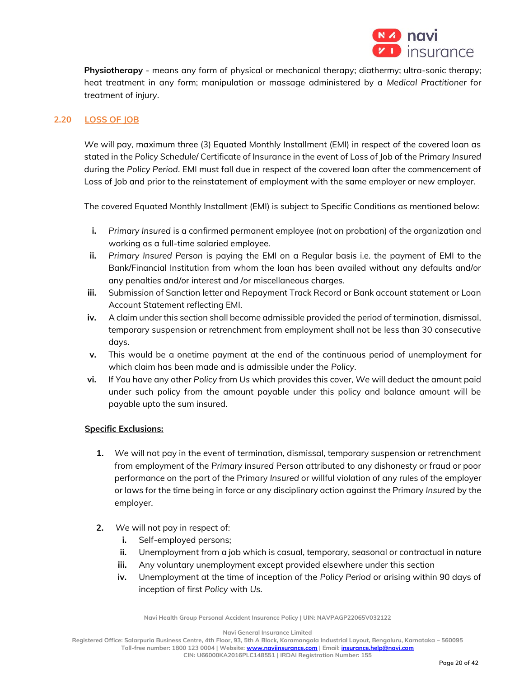

**Physiotherapy** - means any form of physical or mechanical therapy; diathermy; ultra-sonic therapy; heat treatment in any form; manipulation or massage administered by a *Medical Practitioner* for treatment of *injury*.

# **2.20 LOSS OF JOB**

*We* will pay, maximum three (3) Equated Monthly Installment (EMI) in respect of the covered loan as stated in the *Policy Schedule*/ Certificate of Insurance in the event of Loss of Job of the Primary *Insured*  during the *Policy Period*. EMI must fall due in respect of the covered loan after the commencement of Loss of Job and prior to the reinstatement of employment with the same employer or new employer.

The covered Equated Monthly Installment (EMI) is subject to Specific Conditions as mentioned below:

- **i.** *Primary Insured* is a confirmed permanent employee (not on probation) of the organization and working as a full-time salaried employee.
- **ii.** *Primary Insured Person* is paying the EMI on a Regular basis i.e. the payment of EMI to the Bank/Financial Institution from whom the loan has been availed without any defaults and/or any penalties and/or interest and /or miscellaneous charges.
- **iii.** Submission of Sanction letter and Repayment Track Record or Bank account statement or Loan Account Statement reflecting EMI.
- **iv.** A claim under this section shall become admissible provided the period of termination, dismissal, temporary suspension or retrenchment from employment shall not be less than 30 consecutive days.
- **v.** This would be a onetime payment at the end of the continuous period of unemployment for which claim has been made and is admissible under the *Policy*.
- **vi.** If *You* have any other *Policy* from *Us* which provides this cover, *We* will deduct the amount paid under such policy from the amount payable under this policy and balance amount will be payable upto the sum insured.

### **Specific Exclusions:**

- **1.** *We* will not pay in the event of termination, dismissal, temporary suspension or retrenchment from employment of the *Primary Insured* Person attributed to any dishonesty or fraud or poor performance on the part of the Primary *Insured* or willful violation of any rules of the employer or laws for the time being in force or any disciplinary action against the Primary *Insured* by the employer.
- **2.** *We* will not pay in respect of:
	- **i.** Self-employed persons;
	- **ii.** Unemployment from a job which is casual, temporary, seasonal or contractual in nature
	- **iii.** Any voluntary unemployment except provided elsewhere under this section
	- **iv.** Unemployment at the time of inception of the *Policy Period* or arising within 90 days of inception of first *Policy* with *Us*.

**Navi Health Group Personal Accident Insurance Policy | UIN: NAVPAGP22065V032122**

**Navi General Insurance Limited**

**Registered Office: Salarpuria Business Centre, 4th Floor, 93, 5th A Block, Koramangala Industrial Layout, Bengaluru, Karnataka – 560095**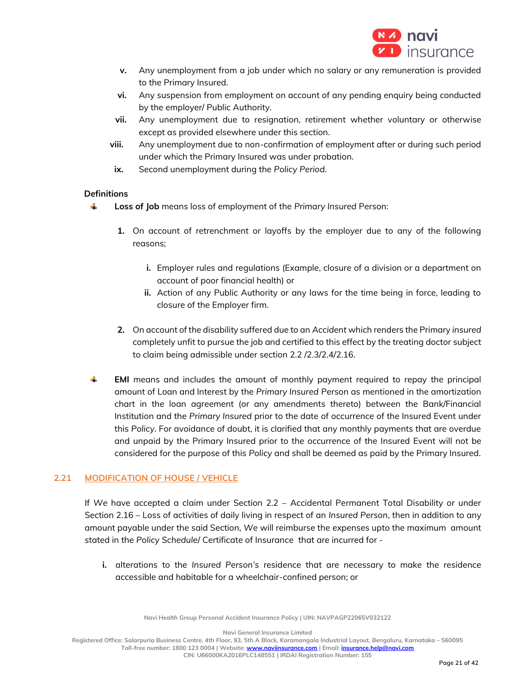

- **v.** Any unemployment from a job under which no salary or any remuneration is provided to the Primary Insured.
- **vi.** Any suspension from employment on account of any pending enquiry being conducted by the employer/ Public Authority.
- **vii.** Any unemployment due to resignation, retirement whether voluntary or otherwise except as provided elsewhere under this section.
- **viii.** Any unemployment due to non-confirmation of employment after or during such period under which the Primary Insured was under probation.
- **ix.** Second unemployment during the *Policy Period*.

# **Definitions**

- 4. **Loss of Job** means loss of employment of the *Primary Insured* Person:
	- **1.** On account of retrenchment or layoffs by the employer due to any of the following reasons;
		- **i.** Employer rules and regulations (Example, closure of a division or a department on account of poor financial health) or
		- **ii.** Action of any Public Authority or any laws for the time being in force, leading to closure of the Employer firm.
	- **2.** On account of the disability suffered due to an *Accident* which renders the Primary *insured*  completely unfit to pursue the job and certified to this effect by the treating doctor subject to claim being admissible under section 2.2 /2.3/2.4/2.16.
- ÷ **EMI** means and includes the amount of monthly payment required to repay the principal amount of Loan and Interest by the *Primary Insured* Person as mentioned in the amortization chart in the loan agreement (or any amendments thereto) between the Bank/Financial Institution and the *Primary Insured* prior to the date of occurrence of the Insured Event under this *Policy*. For avoidance of doubt, it is clarified that any monthly payments that are overdue and unpaid by the Primary Insured prior to the occurrence of the Insured Event will not be considered for the purpose of this *Policy* and shall be deemed as paid by the Primary Insured.

# **2.21 MODIFICATION OF HOUSE / VEHICLE**

If *We* have accepted a claim under Section 2.2 – Accidental Permanent Total Disability or under Section 2.16 – Loss of activities of daily living in respect of an *Insured Person*, then in addition to any amount payable under the said Section, *We* will reimburse the expenses upto the maximum amount stated in the *Policy Schedule*/ Certificate of Insurance that are incurred for -

**i.** alterations to the *Insured Person's* residence that are necessary to make the residence accessible and habitable for a wheelchair-confined person; or

**Navi Health Group Personal Accident Insurance Policy | UIN: NAVPAGP22065V032122**

**Navi General Insurance Limited**

**Registered Office: Salarpuria Business Centre, 4th Floor, 93, 5th A Block, Koramangala Industrial Layout, Bengaluru, Karnataka – 560095 Toll-free number: 1800 123 0004 | Website[: www.naviinsurance.com](http://www.naviinsurance.com/) | Email: [insurance.help@navi.com](mailto:insurance.help@navi.com)**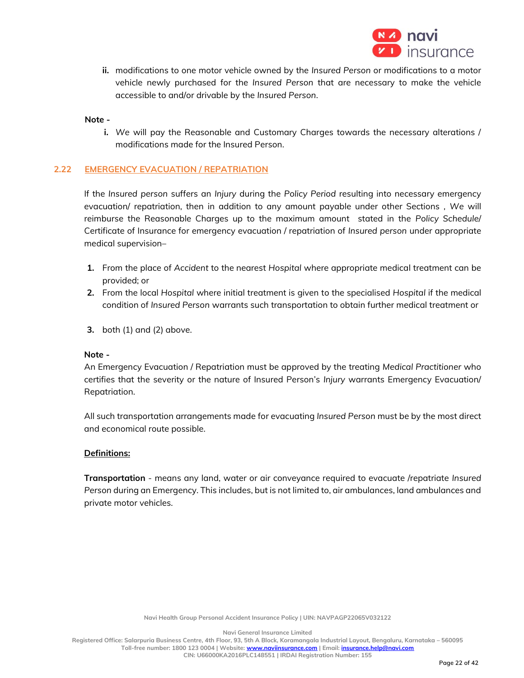

**ii.** modifications to one motor vehicle owned by the *Insured Person* or modifications to a motor vehicle newly purchased for the *Insured Person* that are necessary to make the vehicle accessible to and/or drivable by the *Insured Person*.

#### **Note -**

**i.** *We* will pay the Reasonable and Customary Charges towards the necessary alterations / modifications made for the Insured Person.

### **2.22 EMERGENCY EVACUATION / REPATRIATION**

If the *Insured person* suffers an *Injury* during the *Policy Period* resulting into necessary emergency evacuation/ repatriation, then in addition to any amount payable under other Sections *, We* will reimburse the Reasonable Charges up to the maximum amount stated in the *Policy Schedule*/ Certificate of Insurance for emergency evacuation / repatriation of *Insured person* under appropriate medical supervision–

- **1.** From the place of *Accident* to the nearest *Hospital* where appropriate medical treatment can be provided; or
- **2.** From the local *Hospital* where initial treatment is given to the specialised *Hospital* if the medical condition of *Insured Person* warrants such transportation to obtain further medical treatment or
- **3.** both (1) and (2) above.

#### **Note -**

An Emergency Evacuation / Repatriation must be approved by the treating *Medical Practitioner* who certifies that the severity or the nature of Insured Person's *Injury* warrants Emergency Evacuation/ Repatriation.

All such transportation arrangements made for evacuating *Insured Person* must be by the most direct and economical route possible.

#### **Definitions:**

**Transportation** - means any land, water or air conveyance required to evacuate /repatriate *Insured Person* during an Emergency. This includes, but is not limited to, air ambulances, land ambulances and private motor vehicles.

**Navi General Insurance Limited**

**Registered Office: Salarpuria Business Centre, 4th Floor, 93, 5th A Block, Koramangala Industrial Layout, Bengaluru, Karnataka – 560095 Toll-free number: 1800 123 0004 | Website[: www.naviinsurance.com](http://www.naviinsurance.com/) | Email: [insurance.help@navi.com](mailto:insurance.help@navi.com)**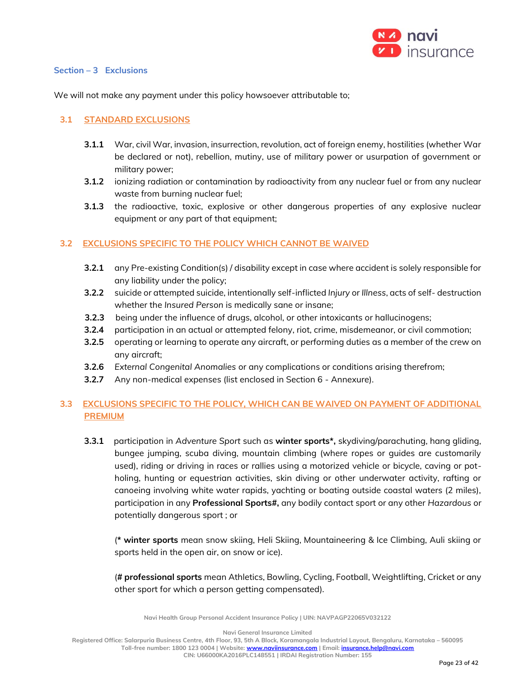

## **Section – 3 Exclusions**

We will not make any payment under this policy howsoever attributable to;

## **3.1 STANDARD EXCLUSIONS**

- **3.1.1** War, civil War, invasion, insurrection, revolution, act of foreign enemy, hostilities (whether War be declared or not), rebellion, mutiny, use of military power or usurpation of government or military power;
- **3.1.2** ionizing radiation or contamination by radioactivity from any nuclear fuel or from any nuclear waste from burning nuclear fuel;
- **3.1.3** the radioactive, toxic, explosive or other dangerous properties of any explosive nuclear equipment or any part of that equipment;

## **3.2 EXCLUSIONS SPECIFIC TO THE POLICY WHICH CANNOT BE WAIVED**

- **3.2.1** any Pre-existing Condition(s) / disability except in case where accident is solely responsible for any liability under the policy;
- **3.2.2** suicide or attempted suicide, intentionally self-inflicted *Injury* or *Illness*, acts of self- destruction whether the *Insured Person* is medically sane or insane;
- **3.2.3** being under the influence of drugs, alcohol, or other intoxicants or hallucinogens;
- **3.2.4** participation in an actual or attempted felony, riot, crime, misdemeanor, or civil commotion;
- **3.2.5** operating or learning to operate any aircraft, or performing duties as a member of the crew on any aircraft;
- **3.2.6** *External Congenital Anomalies* or any complications or conditions arising therefrom;
- **3.2.7** Any non-medical expenses (list enclosed in Section 6 Annexure).

# **3.3 EXCLUSIONS SPECIFIC TO THE POLICY, WHICH CAN BE WAIVED ON PAYMENT OF ADDITIONAL PREMIUM**

**3.3.1** participation in *Adventure Sport* such as **winter sports\*,** skydiving/parachuting, hang gliding, bungee jumping, scuba diving, mountain climbing (where ropes or guides are customarily used), riding or driving in races or rallies using a motorized vehicle or bicycle, caving or potholing, hunting or equestrian activities, skin diving or other underwater activity, rafting or canoeing involving white water rapids, yachting or boating outside coastal waters (2 miles), participation in any **Professional Sports#,** any bodily contact sport or any other *Hazardous* or potentially dangerous sport ; or

(**\* winter sports** mean snow skiing, Heli Skiing, Mountaineering & Ice Climbing, Auli skiing or sports held in the open air, on snow or ice).

(**# professional sports** mean [Athletics,](http://en.wikipedia.org/wiki/Athletics_at_the_Asian_Games) [Bowling,](http://en.wikipedia.org/wiki/Bowling_at_the_Asian_Games) [Cycling,](http://en.wikipedia.org/wiki/Cycling_at_the_Asian_Games) [Football,](http://en.wikipedia.org/wiki/Football_at_the_Asian_Games) [Weightlifting,](http://en.wikipedia.org/wiki/Weightlifting_at_the_Asian_Games) [Cricket](http://en.wikipedia.org/wiki/Cricket_at_the_Asian_Games) or any other sport for which a person getting compensated).

**Navi Health Group Personal Accident Insurance Policy | UIN: NAVPAGP22065V032122**

**Navi General Insurance Limited**

**Registered Office: Salarpuria Business Centre, 4th Floor, 93, 5th A Block, Koramangala Industrial Layout, Bengaluru, Karnataka – 560095 Toll-free number: 1800 123 0004 | Website[: www.naviinsurance.com](http://www.naviinsurance.com/) | Email: [insurance.help@navi.com](mailto:insurance.help@navi.com)**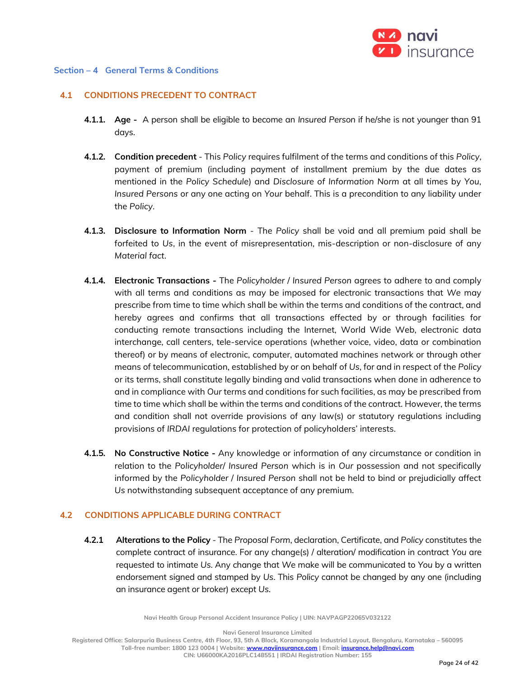

### **Section – 4 General Terms & Conditions**

### **4.1 CONDITIONS PRECEDENT TO CONTRACT**

- **4.1.1. Age** A person shall be eligible to become an *Insured Person* if he/she is not younger than 91 days.
- **4.1.2. Condition precedent** This *Policy* requires fulfilment of the terms and conditions of this *Policy*, payment of premium (including payment of installment premium by the due dates as mentioned in the *Policy Schedule*) and *Disclosure of Information Norm* at all times by *You*, *Insured Persons* or any one acting on *Your* behalf. This is a precondition to any liability under the *Policy*.
- **4.1.3. Disclosure to Information Norm** The *Policy* shall be void and all premium paid shall be forfeited to *Us*, in the event of misrepresentation, mis-description or non-disclosure of any *Material fact*.
- **4.1.4. Electronic Transactions -** The *Policyholder* / *Insured Person* agrees to adhere to and comply with all terms and conditions as may be imposed for electronic transactions that *We* may prescribe from time to time which shall be within the terms and conditions of the contract, and hereby agrees and confirms that all transactions effected by or through facilities for conducting remote transactions including the Internet, World Wide Web, electronic data interchange, call centers, tele-service operations (whether voice, video, data or combination thereof) or by means of electronic, computer, automated machines network or through other means of telecommunication, established by or on behalf of *Us*, for and in respect of the *Policy* or its terms, shall constitute legally binding and valid transactions when done in adherence to and in compliance with *Our* terms and conditions for such facilities, as may be prescribed from time to time which shall be within the terms and conditions of the contract. However, the terms and condition shall not override provisions of any law(s) or statutory regulations including provisions of *IRDAI* regulations for protection of policyholders' interests.
- **4.1.5. No Constructive Notice -** Any knowledge or information of any circumstance or condition in relation to the *Policyholder*/ *Insured Person* which is in *Our* possession and not specifically informed by the *Policyholder* / *Insured Person* shall not be held to bind or prejudicially affect *Us* notwithstanding subsequent acceptance of any premium.

### **4.2 CONDITIONS APPLICABLE DURING CONTRACT**

**4.2.1 Alterations to the Policy** - The *Proposal Form*, declaration, Certificate, and *Policy* constitutes the complete contract of insurance. For any change(s) / alteration/ modification in contract *You* are requested to intimate *Us*. Any change that *We* make will be communicated to *You* by a written endorsement signed and stamped by *Us*. This *Policy* cannot be changed by any one (including an insurance agent or broker) except *Us*.

**Navi Health Group Personal Accident Insurance Policy | UIN: NAVPAGP22065V032122**

**Navi General Insurance Limited**

**Registered Office: Salarpuria Business Centre, 4th Floor, 93, 5th A Block, Koramangala Industrial Layout, Bengaluru, Karnataka – 560095 Toll-free number: 1800 123 0004 | Website[: www.naviinsurance.com](http://www.naviinsurance.com/) | Email: [insurance.help@navi.com](mailto:insurance.help@navi.com)**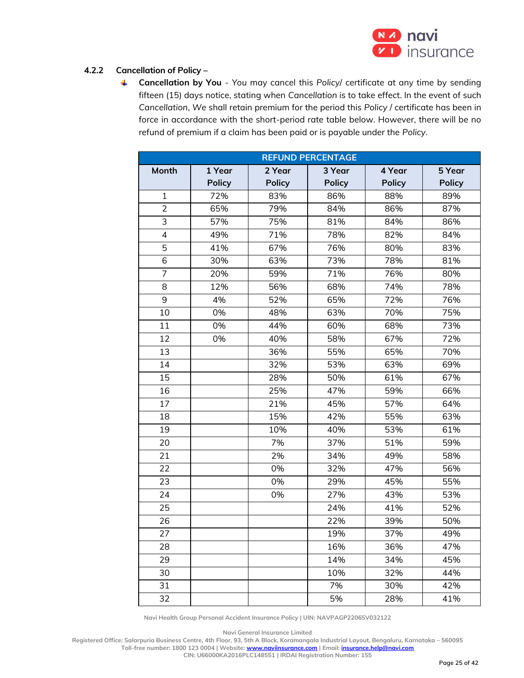

# **4.2.2 Cancellation of Policy –**

₩. **Cancellation by You** - *You* may cancel this *Policy*/ certificate at any time by sending fifteen (15) days notice, stating when *Cancellation* is to take effect. In the event of such *Cancellation*, *We* shall retain premium for the period this *Policy* / certificate has been in force in accordance with the short-period rate table below. However, there will be no refund of premium if a claim has been paid or is payable under the *Policy*.

| <b>REFUND PERCENTAGE</b> |               |               |               |               |               |
|--------------------------|---------------|---------------|---------------|---------------|---------------|
| Month                    | 1 Year        | 2 Year        | 3 Year        | 4 Year        | 5 Year        |
|                          | <b>Policy</b> | <b>Policy</b> | <b>Policy</b> | <b>Policy</b> | <b>Policy</b> |
| $\mathbf{1}$             | 72%           | 83%           | 86%           | 88%           | 89%           |
| $\overline{2}$           | 65%           | 79%           | 84%           | 86%           | 87%           |
| 3                        | 57%           | 75%           | 81%           | 84%           | 86%           |
| $\overline{4}$           | 49%           | 71%           | 78%           | 82%           | 84%           |
| 5                        | 41%           | 67%           | 76%           | 80%           | 83%           |
| 6                        | 30%           | 63%           | 73%           | 78%           | 81%           |
| 7                        | 20%           | 59%           | 71%           | 76%           | 80%           |
| 8                        | 12%           | 56%           | 68%           | 74%           | 78%           |
| 9                        | 4%            | 52%           | 65%           | 72%           | 76%           |
| 10                       | 0%            | 48%           | 63%           | 70%           | 75%           |
| 11                       | 0%            | 44%           | 60%           | 68%           | 73%           |
| 12                       | 0%            | 40%           | 58%           | 67%           | 72%           |
| 13                       |               | 36%           | 55%           | 65%           | 70%           |
| 14                       |               | 32%           | 53%           | 63%           | 69%           |
| 15                       |               | 28%           | 50%           | 61%           | 67%           |
| 16                       |               | 25%           | 47%           | 59%           | 66%           |
| 17                       |               | 21%           | 45%           | 57%           | 64%           |
| 18                       |               | 15%           | 42%           | 55%           | 63%           |
| 19                       |               | 10%           | 40%           | 53%           | 61%           |
| 20                       |               | 7%            | 37%           | 51%           | 59%           |
| 21                       |               | 2%            | 34%           | 49%           | 58%           |
| 22                       |               | 0%            | 32%           | 47%           | 56%           |
| 23                       |               | 0%            | 29%           | 45%           | 55%           |
| 24                       |               | 0%            | 27%           | 43%           | 53%           |
| 25                       |               |               | 24%           | 41%           | 52%           |
| 26                       |               |               | 22%           | 39%           | 50%           |
| 27                       |               |               | 19%           | 37%           | 49%           |
| 28                       |               |               | 16%           | 36%           | 47%           |
| 29                       |               |               | 14%           | 34%           | 45%           |
| 30                       |               |               | 10%           | 32%           | 44%           |
| 31                       |               |               | 7%            | 30%           | 42%           |
| 32                       |               |               | 5%            | 28%           | 41%           |

**Navi Health Group Personal Accident Insurance Policy | UIN: NAVPAGP22065V032122**

**Navi General Insurance Limited**

**Registered Office: Salarpuria Business Centre, 4th Floor, 93, 5th A Block, Koramangala Industrial Layout, Bengaluru, Karnataka – 560095 Toll-free number: 1800 123 0004 | Website[: www.naviinsurance.com](http://www.naviinsurance.com/) | Email: [insurance.help@navi.com](mailto:insurance.help@navi.com)**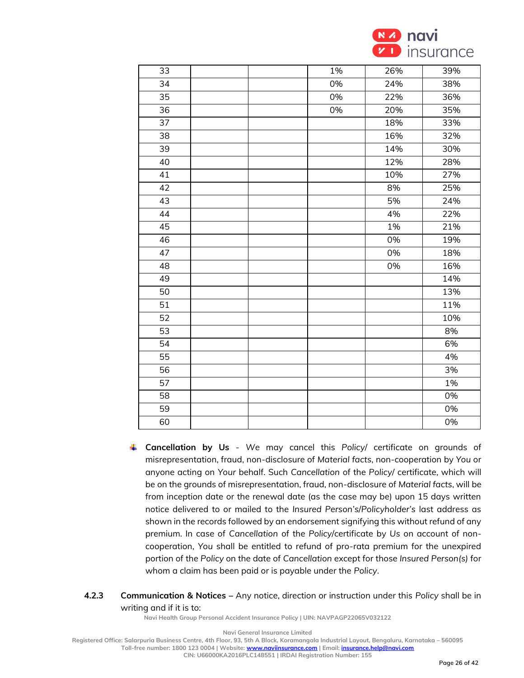

| 33 | $1\%$ | 26% | 39% |
|----|-------|-----|-----|
| 34 | 0%    | 24% | 38% |
| 35 | 0%    | 22% | 36% |
| 36 | 0%    | 20% | 35% |
| 37 |       | 18% | 33% |
| 38 |       | 16% | 32% |
| 39 |       | 14% | 30% |
| 40 |       | 12% | 28% |
| 41 |       | 10% | 27% |
| 42 |       | 8%  | 25% |
| 43 |       | 5%  | 24% |
| 44 |       | 4%  | 22% |
| 45 |       | 1%  | 21% |
| 46 |       | 0%  | 19% |
| 47 |       | 0%  | 18% |
| 48 |       | 0%  | 16% |
| 49 |       |     | 14% |
| 50 |       |     | 13% |
| 51 |       |     | 11% |
| 52 |       |     | 10% |
| 53 |       |     | 8%  |
| 54 |       |     | 6%  |
| 55 |       |     | 4%  |
| 56 |       |     | 3%  |
| 57 |       |     | 1%  |
| 58 |       |     | 0%  |
| 59 |       |     | 0%  |
| 60 |       |     | 0%  |

- **Cancellation by Us** *We* may cancel this *Policy*/ certificate on grounds of misrepresentation, fraud, non-disclosure of *Material facts*, non-cooperation by *You* or anyone acting on *Your* behalf. Such *Cancellation* of the *Policy*/ certificate, which will be on the grounds of misrepresentation, fraud, non-disclosure of *Material facts*, will be from inception date or the renewal date (as the case may be) upon 15 days written notice delivered to or mailed to the *Insured Person's*/*Policyholder's* last address as shown in the records followed by an endorsement signifying this without refund of any premium. In case of *Cancellation* of the *Policy*/certificate by *Us* on account of noncooperation, *You* shall be entitled to refund of pro-rata premium for the unexpired portion of the *Policy* on the date of *Cancellation* except for those *Insured Person(s)* for whom a claim has been paid or is payable under the *Policy*.
- **4.2.3 Communication & Notices –** Any notice, direction or instruction under this *Policy* shall be in writing and if it is to:

**Navi General Insurance Limited**

**Registered Office: Salarpuria Business Centre, 4th Floor, 93, 5th A Block, Koramangala Industrial Layout, Bengaluru, Karnataka – 560095**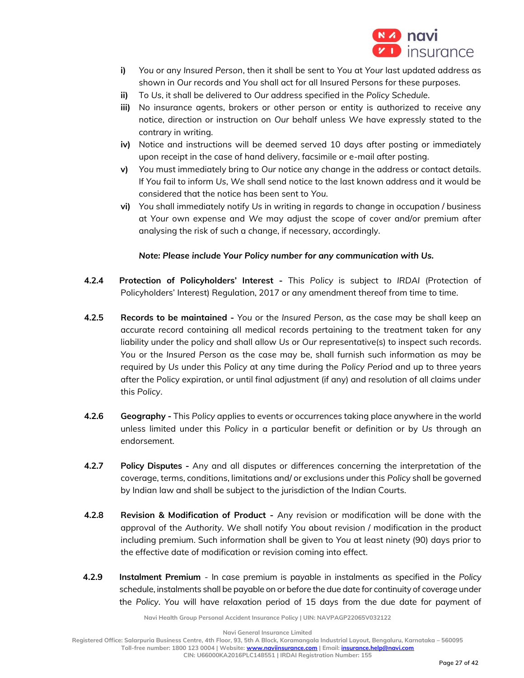

- **i)** *You* or any *Insured Person*, then it shall be sent to *You* at *Your* last updated address as shown in *Our* records and *You* shall act for all Insured Persons for these purposes.
- **ii)** To *Us*, it shall be delivered to *Our* address specified in the *Policy Schedule*.
- **iii)** No insurance agents, brokers or other person or entity is authorized to receive any notice, direction or instruction on *Our* behalf unless *We* have expressly stated to the contrary in writing.
- **iv)** Notice and instructions will be deemed served 10 days after posting or immediately upon receipt in the case of hand delivery, facsimile or e-mail after posting.
- **v)** *You* must immediately bring to *Our* notice any change in the address or contact details. If *You* fail to inform *Us*, *We* shall send notice to the last known address and it would be considered that the notice has been sent to *You*.
- **vi)** *You* shall immediately notify *Us* in writing in regards to change in occupation / business at *Your* own expense and *We* may adjust the scope of cover and/or premium after analysing the risk of such a change, if necessary, accordingly.

## *Note: Please include Your Policy number for any communication with Us.*

- **4.2.4 Protection of Policyholders' Interest -** This *Policy* is subject to *IRDAI* (Protection of Policyholders' Interest) Regulation, 2017 or any amendment thereof from time to time.
- **4.2.5 Records to be maintained -** *You* or the *Insured Person*, as the case may be shall keep an accurate record containing all medical records pertaining to the treatment taken for any liability under the policy and shall allow *Us* or *Our* representative(s) to inspect such records. *You* or the *Insured Person* as the case may be, shall furnish such information as may be required by *Us* under this *Policy* at any time during the *Policy Period* and up to three years after the Policy expiration, or until final adjustment (if any) and resolution of all claims under this *Policy*.
- **4.2.6 Geography -** This *Policy* applies to events or occurrences taking place anywhere in the world unless limited under this *Policy* in a particular benefit or definition or by *Us* through an endorsement.
- **4.2.7 Policy Disputes -** Any and all disputes or differences concerning the interpretation of the coverage, terms, conditions, limitations and/ or exclusions under this *Policy* shall be governed by Indian law and shall be subject to the jurisdiction of the Indian Courts.
- **4.2.8 Revision & Modification of Product -** Any revision or modification will be done with the approval of the *Authority*. *We* shall notify *You* about revision / modification in the product including premium. Such information shall be given to *You* at least ninety (90) days prior to the effective date of modification or revision coming into effect.
- **4.2.9 Instalment Premium**  In case premium is payable in instalments as specified in the *Policy* schedule, instalments shall be payable on or before the due date for continuity of coverage under the *Policy*. *You* will have relaxation period of 15 days from the due date for payment of

**Navi Health Group Personal Accident Insurance Policy | UIN: NAVPAGP22065V032122**

**Navi General Insurance Limited**

**Registered Office: Salarpuria Business Centre, 4th Floor, 93, 5th A Block, Koramangala Industrial Layout, Bengaluru, Karnataka – 560095**

**Toll-free number: 1800 123 0004 | Website[: www.naviinsurance.com](http://www.naviinsurance.com/) | Email: [insurance.help@navi.com](mailto:insurance.help@navi.com)**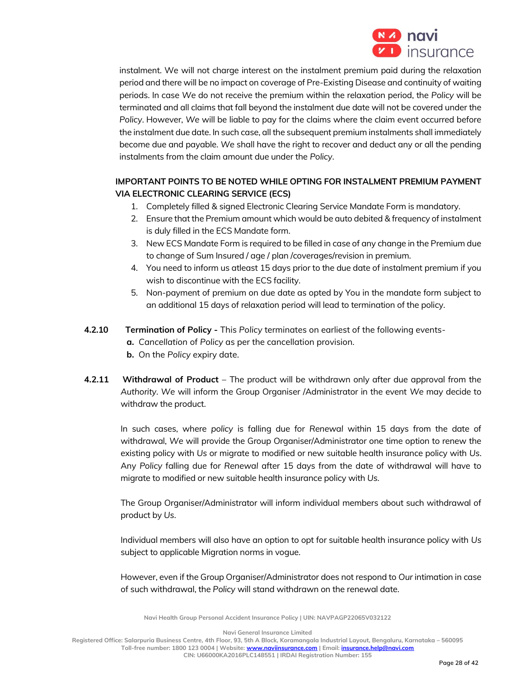

instalment. We will not charge interest on the instalment premium paid during the relaxation period and there will be no impact on coverage of Pre-Existing Disease and continuity of waiting periods. In case *We* do not receive the premium within the relaxation period, the *Policy* will be terminated and all claims that fall beyond the instalment due date will not be covered under the *Policy*. However, *We* will be liable to pay for the claims where the claim event occurred before the instalment due date. In such case, all the subsequent premium instalments shall immediately become due and payable. *We* shall have the right to recover and deduct any or all the pending instalments from the claim amount due under the *Policy*.

# **IMPORTANT POINTS TO BE NOTED WHILE OPTING FOR INSTALMENT PREMIUM PAYMENT VIA ELECTRONIC CLEARING SERVICE (ECS)**

- 1. Completely filled & signed Electronic Clearing Service Mandate Form is mandatory.
- 2. Ensure that the Premium amount which would be auto debited & frequency of instalment is duly filled in the ECS Mandate form.
- 3. New ECS Mandate Form is required to be filled in case of any change in the Premium due to change of Sum Insured / age / plan /coverages/revision in premium.
- 4. You need to inform us atleast 15 days prior to the due date of instalment premium if you wish to discontinue with the ECS facility.
- 5. Non-payment of premium on due date as opted by You in the mandate form subject to an additional 15 days of relaxation period will lead to termination of the policy.
- **4.2.10 Termination of Policy -** This *Policy* terminates on earliest of the following events
	- **a.** *Cancellation* of *Policy* as per the cancellation provision.
	- **b.** On the *Policy* expiry date.
- **4.2.11 Withdrawal of Product** The product will be withdrawn only after due approval from the *Authority*. *We* will inform the Group Organiser /Administrator in the event *We* may decide to withdraw the product.

In such cases, where *policy* is falling due for *Renewal* within 15 days from the date of withdrawal, *We* will provide the Group Organiser/Administrator one time option to renew the existing policy with *Us* or migrate to modified or new suitable health insurance policy with *Us*. Any *Policy* falling due for *Renewal* after 15 days from the date of withdrawal will have to migrate to modified or new suitable health insurance policy with *Us.*

The Group Organiser/Administrator will inform individual members about such withdrawal of product by *Us*.

Individual members will also have an option to opt for suitable health insurance policy with *Us* subject to applicable Migration norms in vogue.

However, even if the Group Organiser/Administrator does not respond to *Our* intimation in case of such withdrawal, the *Policy* will stand withdrawn on the renewal date.

**Navi Health Group Personal Accident Insurance Policy | UIN: NAVPAGP22065V032122**

**Navi General Insurance Limited**

**Registered Office: Salarpuria Business Centre, 4th Floor, 93, 5th A Block, Koramangala Industrial Layout, Bengaluru, Karnataka – 560095 Toll-free number: 1800 123 0004 | Website[: www.naviinsurance.com](http://www.naviinsurance.com/) | Email: [insurance.help@navi.com](mailto:insurance.help@navi.com)**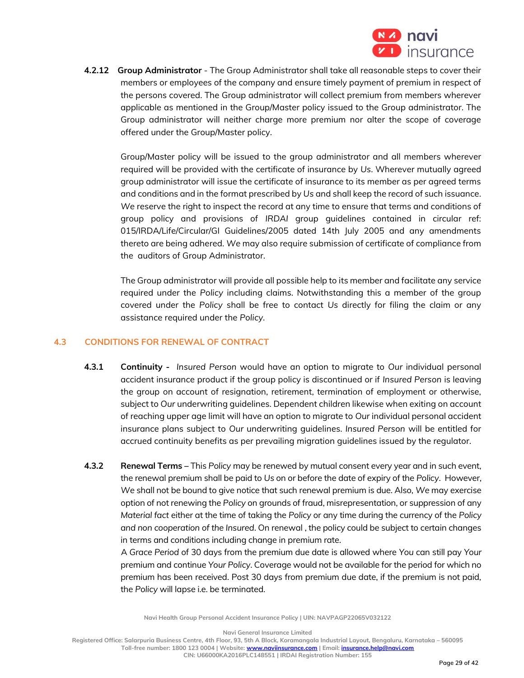

**4.2.12 Group Administrator** - The Group Administrator shall take all reasonable steps to cover their members or employees of the company and ensure timely payment of premium in respect of the persons covered. The Group administrator will collect premium from members wherever applicable as mentioned in the Group/Master policy issued to the Group administrator. The Group administrator will neither charge more premium nor alter the scope of coverage offered under the Group/Master policy.

Group/Master policy will be issued to the group administrator and all members wherever required will be provided with the certificate of insurance by *Us*. Wherever mutually agreed group administrator will issue the certificate of insurance to its member as per agreed terms and conditions and in the format prescribed by *Us* and shall keep the record of such issuance. *We* reserve the right to inspect the record at any time to ensure that terms and conditions of group policy and provisions of *IRDAI* group guidelines contained in circular ref: 015/IRDA/Life/Circular/GI Guidelines/2005 dated 14th July 2005 and any amendments thereto are being adhered. *We* may also require submission of certificate of compliance from the auditors of Group Administrator.

The Group administrator will provide all possible help to its member and facilitate any service required under the *Policy* including claims. Notwithstanding this a member of the group covered under the *Policy* shall be free to contact *Us* directly for filing the claim or any assistance required under the *Policy.*

## **4.3 CONDITIONS FOR RENEWAL OF CONTRACT**

- **4.3.1 Continuity** *Insured Person* would have an option to migrate to *Our* individual personal accident insurance product if the group policy is discontinued or if *Insured Person* is leaving the group on account of resignation, retirement, termination of employment or otherwise, subject to *Our* underwriting guidelines. Dependent children likewise when exiting on account of reaching upper age limit will have an option to migrate to *Our* individual personal accident insurance plans subject to *Our* underwriting guidelines. *Insured Person* will be entitled for accrued continuity benefits as per prevailing migration guidelines issued by the regulator.
- **4.3.2 Renewal Terms –** This *Policy* may be renewed by mutual consent every year and in such event, the renewal premium shall be paid to *Us* on or before the date of expiry of the *Policy*. However, *We* shall not be bound to give notice that such renewal premium is due. Also, *We* may exercise option of not renewing the *Policy* on grounds of fraud, misrepresentation, or suppression of any *Material fact* either at the time of taking the *Policy* or any time during the currency of the *Policy and non cooperation of the Insured*. On renewal , the policy could be subject to certain changes in terms and conditions including change in premium rate.

 A *Grace Period* of 30 days from the premium due date is allowed where *You* can still pay *Your* premium and continue *Your Policy*. Coverage would not be available for the period for which no premium has been received. Post 30 days from premium due date, if the premium is not paid, the *Policy* will lapse i.e. be terminated.

**Navi Health Group Personal Accident Insurance Policy | UIN: NAVPAGP22065V032122**

**Navi General Insurance Limited**

**Registered Office: Salarpuria Business Centre, 4th Floor, 93, 5th A Block, Koramangala Industrial Layout, Bengaluru, Karnataka – 560095 Toll-free number: 1800 123 0004 | Website[: www.naviinsurance.com](http://www.naviinsurance.com/) | Email: [insurance.help@navi.com](mailto:insurance.help@navi.com)**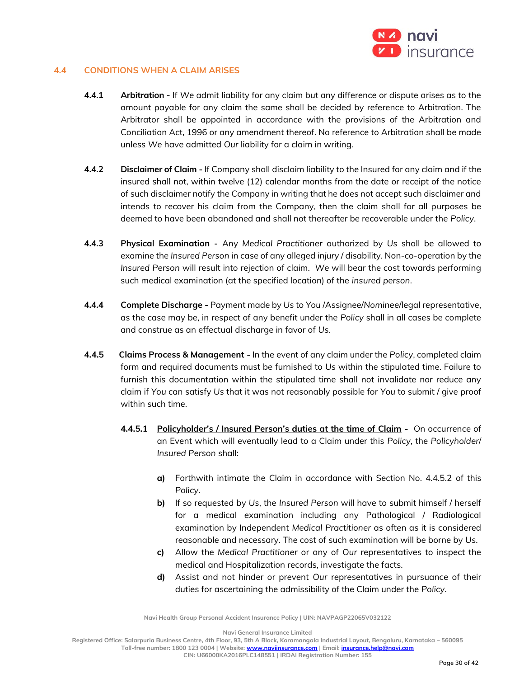

## **4.4 CONDITIONS WHEN A CLAIM ARISES**

- **4.4.1 Arbitration -** If *We* admit liability for any claim but any difference or dispute arises as to the amount payable for any claim the same shall be decided by reference to Arbitration. The Arbitrator shall be appointed in accordance with the provisions of the Arbitration and Conciliation Act, 1996 or any amendment thereof. No reference to Arbitration shall be made unless *We* have admitted *Our* liability for a claim in writing.
- **4.4.2 Disclaimer of Claim -** If Company shall disclaim liability to the Insured for any claim and if the insured shall not, within twelve (12) calendar months from the date or receipt of the notice of such disclaimer notify the Company in writing that he does not accept such disclaimer and intends to recover his claim from the Company, then the claim shall for all purposes be deemed to have been abandoned and shall not thereafter be recoverable under the *Policy*.
- **4.4.3 Physical Examination -** Any *Medical Practitioner* authorized by *Us* shall be allowed to examine the *Insured Person* in case of any alleged *injury* / disability. Non-co-operation by the *Insured Person* will result into rejection of claim. *We* will bear the cost towards performing such medical examination (at the specified location) of the *insured person*.
- **4.4.4 Complete Discharge -** Payment made by *Us* to *You* /Assignee/*Nominee*/legal representative, as the case may be, in respect of any benefit under the *Policy* shall in all cases be complete and construe as an effectual discharge in favor of *Us*.
- **4.4.5 Claims Process & Management -** In the event of any claim under the *Policy*, completed claim form and required documents must be furnished to *Us* within the stipulated time. Failure to furnish this documentation within the stipulated time shall not invalidate nor reduce any claim if *You* can satisfy *Us* that it was not reasonably possible for *You* to submit / give proof within such time.
	- **4.4.5.1 Policyholder's / Insured Person's duties at the time of Claim -** On occurrence of an Event which will eventually lead to a Claim under this *Policy*, the *Policyholder*/ *Insured Person* shall:
		- **a)** Forthwith intimate the Claim in accordance with Section No. 4.4.5.2 of this *Policy*.
		- **b)** If so requested by *Us*, the *Insured Person* will have to submit himself / herself for a medical examination including any Pathological / Radiological examination by Independent *Medical Practitioner* as often as it is considered reasonable and necessary. The cost of such examination will be borne by *Us*.
		- **c)** Allow the *Medical Practitioner* or any of *Our* representatives to inspect the medical and Hospitalization records, investigate the facts.
		- **d)** Assist and not hinder or prevent *Our* representatives in pursuance of their duties for ascertaining the admissibility of the Claim under the *Policy*.

**Navi Health Group Personal Accident Insurance Policy | UIN: NAVPAGP22065V032122**

**Navi General Insurance Limited**

**Registered Office: Salarpuria Business Centre, 4th Floor, 93, 5th A Block, Koramangala Industrial Layout, Bengaluru, Karnataka – 560095 Toll-free number: 1800 123 0004 | Website[: www.naviinsurance.com](http://www.naviinsurance.com/) | Email: [insurance.help@navi.com](mailto:insurance.help@navi.com)**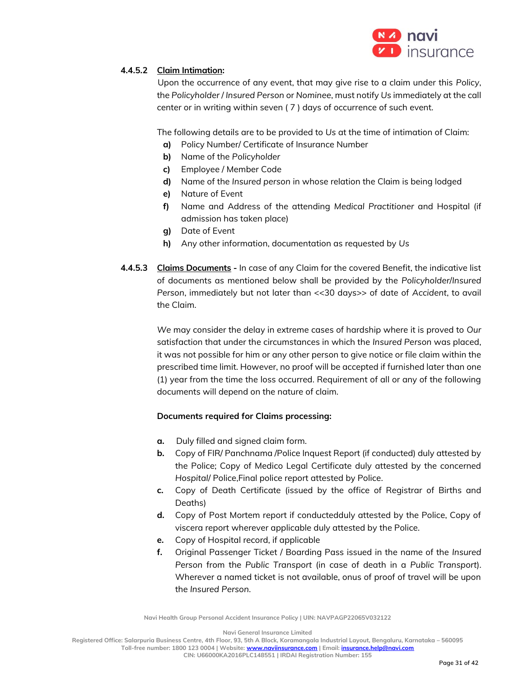

# **4.4.5.2 Claim Intimation:**

 Upon the occurrence of any event, that may give rise to a claim under this *Policy*, the *Policyholder* / *Insured Person* or *Nominee*, must notify *Us* immediately at the call center or in writing within seven ( 7 ) days of occurrence of such event.

The following details are to be provided to *Us* at the time of intimation of Claim:

- **a)** Policy Number/ Certificate of Insurance Number
- **b)** Name of the *Policyholder*
- **c)** Employee / Member Code
- **d)** Name of the *Insured person* in whose relation the Claim is being lodged
- **e)** Nature of Event
- **f)** Name and Address of the attending *Medical Practitioner* and Hospital (if admission has taken place)
- **g)** Date of Event
- **h)** Any other information, documentation as requested by *Us*
- **4.4.5.3 Claims Documents -** In case of any Claim for the covered Benefit, the indicative list of documents as mentioned below shall be provided by the *Policyholder*/*Insured Person*, immediately but not later than <<30 days>> of date of *Accident*, to avail the Claim.

*We* may consider the delay in extreme cases of hardship where it is proved to *Our* satisfaction that under the circumstances in which the *Insured Person* was placed, it was not possible for him or any other person to give notice or file claim within the prescribed time limit. However, no proof will be accepted if furnished later than one (1) year from the time the loss occurred. Requirement of all or any of the following documents will depend on the nature of claim.

# **Documents required for Claims processing:**

- **a.** Duly filled and signed claim form.
- **b.** Copy of FIR/ Panchnama /Police Inquest Report (if conducted) duly attested by the Police; Copy of Medico Legal Certificate duly attested by the concerned *Hospital*/ Police,Final police report attested by Police.
- **c.** Copy of Death Certificate (issued by the office of Registrar of Births and Deaths)
- **d.** Copy of Post Mortem report if conductedduly attested by the Police, Copy of viscera report wherever applicable duly attested by the Police.
- **e.** Copy of Hospital record, if applicable
- **f.** Original Passenger Ticket / Boarding Pass issued in the name of the *Insured Person* from the *Public Transport* (in case of death in a *Public Transport*). Wherever a named ticket is not available, onus of proof of travel will be upon the *Insured Person*.

**Navi Health Group Personal Accident Insurance Policy | UIN: NAVPAGP22065V032122**

**Navi General Insurance Limited**

**Registered Office: Salarpuria Business Centre, 4th Floor, 93, 5th A Block, Koramangala Industrial Layout, Bengaluru, Karnataka – 560095**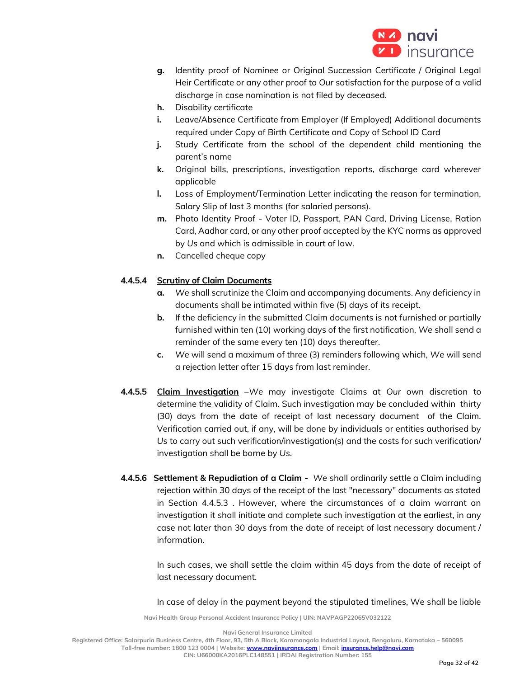

- **g.** Identity proof of *Nominee* or Original Succession Certificate / Original Legal Heir Certificate or any other proof to *Our* satisfaction for the purpose of a valid discharge in case nomination is not filed by deceased.
- **h.** Disability certificate
- **i.** Leave/Absence Certificate from Employer (If Employed) Additional documents required under Copy of Birth Certificate and Copy of School ID Card
- **j.** Study Certificate from the school of the dependent child mentioning the parent's name
- **k.** Original bills, prescriptions, investigation reports, discharge card wherever applicable
- **l.** Loss of Employment/Termination Letter indicating the reason for termination, Salary Slip of last 3 months (for salaried persons).
- **m.** Photo Identity Proof Voter ID, Passport, PAN Card, Driving License, Ration Card, Aadhar card, or any other proof accepted by the KYC norms as approved by *Us* and which is admissible in court of law.
- **n.** Cancelled cheque copy

# **4.4.5.4 Scrutiny of Claim Documents**

- **a.** *We* shall scrutinize the Claim and accompanying documents. Any deficiency in documents shall be intimated within five (5) days of its receipt.
- **b.** If the deficiency in the submitted Claim documents is not furnished or partially furnished within ten (10) working days of the first notification, *We* shall send a reminder of the same every ten (10) days thereafter.
- **c.** *We* will send a maximum of three (3) reminders following which, *We* will send a rejection letter after 15 days from last reminder.
- **4.4.5.5 Claim Investigation** –*We* may investigate Claims at *Our* own discretion to determine the validity of Claim. Such investigation may be concluded within thirty (30) days from the date of receipt of last necessary document of the Claim. Verification carried out, if any, will be done by individuals or entities authorised by *Us* to carry out such verification/investigation(s) and the costs for such verification/ investigation shall be borne by *Us*.
- **4.4.5.6** Settlement & Repudiation of a Claim We shall ordinarily settle a Claim including rejection within 30 days of the receipt of the last "necessary" documents as stated in Section 4.4.5.3 . However, where the circumstances of a claim warrant an investigation it shall initiate and complete such investigation at the earliest, in any case not later than 30 days from the date of receipt of last necessary document / information.

In such cases, we shall settle the claim within 45 days from the date of receipt of last necessary document.

In case of delay in the payment beyond the stipulated timelines, We shall be liable

**Navi Health Group Personal Accident Insurance Policy | UIN: NAVPAGP22065V032122**

**Navi General Insurance Limited**

**Registered Office: Salarpuria Business Centre, 4th Floor, 93, 5th A Block, Koramangala Industrial Layout, Bengaluru, Karnataka – 560095**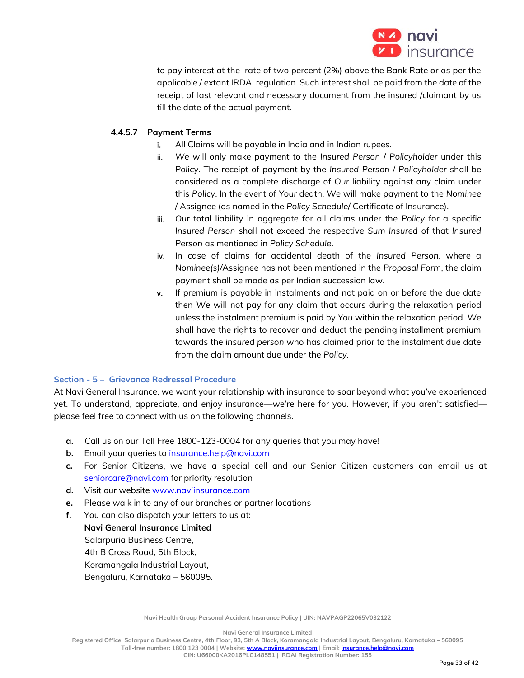

to pay interest at the rate of two percent (2%) above the Bank Rate or as per the applicable / extant IRDAI regulation. Such interest shall be paid from the date of the receipt of last relevant and necessary document from the insured /claimant by us till the date of the actual payment.

# **4.4.5.7 Payment Terms**

- i. All Claims will be payable in India and in Indian rupees.
- ii. *We* will only make payment to the *Insured Person* / *Policyholder* under this *Policy*. The receipt of payment by the *Insured Person* / *Policyholder* shall be considered as a complete discharge of *Our* liability against any claim under this *Policy*. In the event of *Your* death, *We* will make payment to the *Nominee* / Assignee (as named in the *Policy Schedule*/ Certificate of Insurance).
- iii. *Our* total liability in aggregate for all claims under the *Policy* for a specific *Insured Person* shall not exceed the respective *Sum Insured* of that *Insured Person* as mentioned in *Policy Schedule*.
- iv. In case of claims for accidental death of the *Insured Person*, where a *Nominee(s)/*Assignee has not been mentioned in the *Proposal Form*, the claim payment shall be made as per Indian succession law.
- v. If premium is payable in instalments and not paid on or before the due date then *We* will not pay for any claim that occurs during the relaxation period unless the instalment premium is paid by *You* within the relaxation period. *We* shall have the rights to recover and deduct the pending installment premium towards the *insured person* who has claimed prior to the instalment due date from the claim amount due under the *Policy*.

# **Section - 5 – Grievance Redressal Procedure**

At Navi General Insurance, we want your relationship with insurance to soar beyond what you've experienced yet. To understand, appreciate, and enjoy insurance—we're here for you. However, if you aren't satisfied please feel free to connect with us on the following channels.

- **a.** Call us on our Toll Free 1800-123-0004 for any queries that you may have!
- **b.** Email your queries to insurance.help@navi.com
- **c.** For Senior Citizens, we have a special cell and our Senior Citizen customers can email us at seniorcare@navi.com for priority resolution
- **d.** Visit our website www.naviinsurance.com
- **e.** Please walk in to any of our branches or partner locations
- **f.** You can also dispatch your letters to us at:

**Navi General Insurance Limited** Salarpuria Business Centre, 4th B Cross Road, 5th Block, Koramangala Industrial Layout, Bengaluru, Karnataka – 560095.

**Navi Health Group Personal Accident Insurance Policy | UIN: NAVPAGP22065V032122**

**Navi General Insurance Limited**

**Registered Office: Salarpuria Business Centre, 4th Floor, 93, 5th A Block, Koramangala Industrial Layout, Bengaluru, Karnataka – 560095 Toll-free number: 1800 123 0004 | Website[: www.naviinsurance.com](http://www.naviinsurance.com/) | Email: [insurance.help@navi.com](mailto:insurance.help@navi.com)**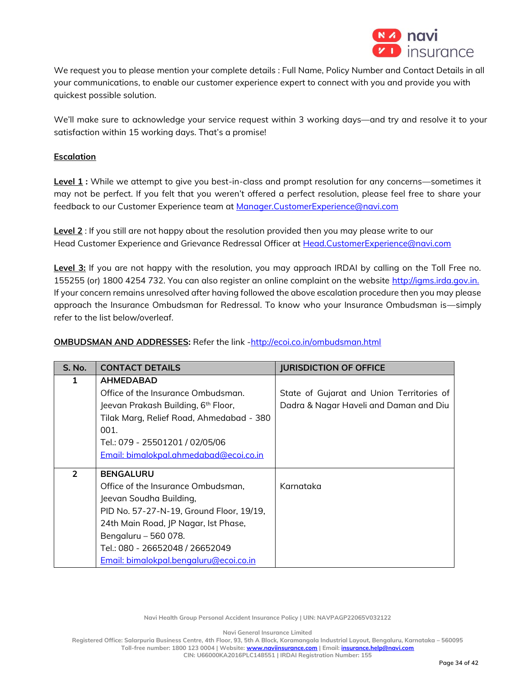

We request you to please mention your complete details : Full Name, Policy Number and Contact Details in all your communications, to enable our customer experience expert to connect with you and provide you with quickest possible solution.

We'll make sure to acknowledge your service request within 3 working days—and try and resolve it to your satisfaction within 15 working days. That's a promise!

# **Escalation**

**Level 1 :** While we attempt to give you best-in-class and prompt resolution for any concerns—sometimes it may not be perfect. If you felt that you weren't offered a perfect resolution, please feel free to share your feedback to our Customer Experience team at Manager.CustomerExperience@navi.com

**Level 2** : If you still are not happy about the resolution provided then you may please write to our Head Customer Experience and Grievance Redressal Officer at Head.CustomerExperience@navi.com

**Level 3:** If you are not happy with the resolution, you may approach IRDAI by calling on the Toll Free no. 155255 (or) 1800 4254 732. You can also register an online complaint on the website http://igms.irda.gov.in. If your concern remains unresolved after having followed the above escalation procedure then you may please approach the Insurance Ombudsman for Redressal. To know who your Insurance Ombudsman is—simply refer to the list below/overleaf.

# **OMBUDSMAN AND ADDRESSES:** Refer the link -http://ecoi.co.in/ombudsman.html

| S. No.        | <b>CONTACT DETAILS</b>                          | <b>JURISDICTION OF OFFICE</b>             |
|---------------|-------------------------------------------------|-------------------------------------------|
|               | <b>AHMEDABAD</b>                                |                                           |
|               | Office of the Insurance Ombudsman.              | State of Gujarat and Union Territories of |
|               | Jeevan Prakash Building, 6 <sup>th</sup> Floor, | Dadra & Nagar Haveli and Daman and Diu    |
|               | Tilak Marg, Relief Road, Ahmedabad - 380        |                                           |
|               | 001.                                            |                                           |
|               | Tel.: 079 - 25501201 / 02/05/06                 |                                           |
|               | Email: bimalokpal.ahmedabad@ecoi.co.in          |                                           |
| $\mathcal{P}$ | <b>BENGALURU</b>                                |                                           |
|               |                                                 |                                           |
|               | Office of the Insurance Ombudsman,              | Karnataka                                 |
|               | Jeevan Soudha Building,                         |                                           |
|               | PID No. 57-27-N-19, Ground Floor, 19/19,        |                                           |
|               | 24th Main Road, JP Nagar, Ist Phase,            |                                           |
|               | Bengaluru - 560 078.                            |                                           |
|               | Tel.: 080 - 26652048 / 26652049                 |                                           |
|               | Email: bimalokpal.bengaluru@ecoi.co.in          |                                           |

**Navi Health Group Personal Accident Insurance Policy | UIN: NAVPAGP22065V032122**

**Navi General Insurance Limited**

**Registered Office: Salarpuria Business Centre, 4th Floor, 93, 5th A Block, Koramangala Industrial Layout, Bengaluru, Karnataka – 560095 Toll-free number: 1800 123 0004 | Website[: www.naviinsurance.com](http://www.naviinsurance.com/) | Email: [insurance.help@navi.com](mailto:insurance.help@navi.com)**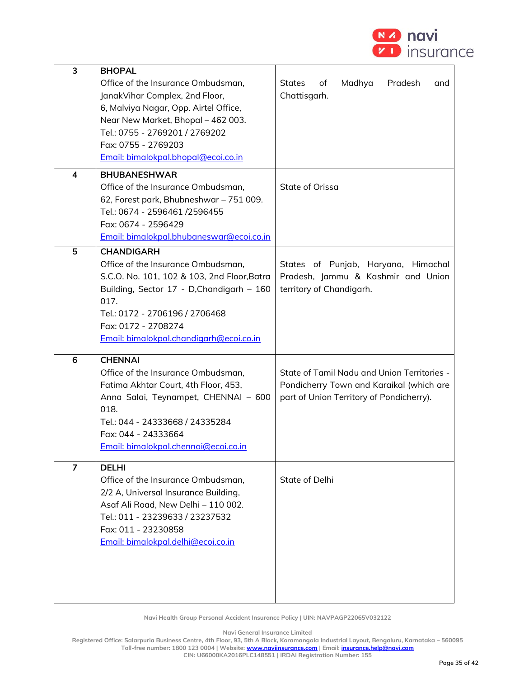

| 3              | <b>BHOPAL</b>                               |                                                 |
|----------------|---------------------------------------------|-------------------------------------------------|
|                | Office of the Insurance Ombudsman,          | <b>States</b><br>Madhya<br>Pradesh<br>of<br>and |
|                | JanakVihar Complex, 2nd Floor,              | Chattisgarh.                                    |
|                | 6, Malviya Nagar, Opp. Airtel Office,       |                                                 |
|                | Near New Market, Bhopal - 462 003.          |                                                 |
|                | Tel.: 0755 - 2769201 / 2769202              |                                                 |
|                | Fax: 0755 - 2769203                         |                                                 |
|                | Email: bimalokpal.bhopal@ecoi.co.in         |                                                 |
|                |                                             |                                                 |
| 4              | <b>BHUBANESHWAR</b>                         |                                                 |
|                | Office of the Insurance Ombudsman,          | State of Orissa                                 |
|                | 62, Forest park, Bhubneshwar - 751 009.     |                                                 |
|                | Tel.: 0674 - 2596461 /2596455               |                                                 |
|                | Fax: 0674 - 2596429                         |                                                 |
|                | Email: bimalokpal.bhubaneswar@ecoi.co.in    |                                                 |
| 5              | <b>CHANDIGARH</b>                           |                                                 |
|                | Office of the Insurance Ombudsman,          | States of Punjab, Haryana, Himachal             |
|                | S.C.O. No. 101, 102 & 103, 2nd Floor, Batra | Pradesh, Jammu & Kashmir and Union              |
|                | Building, Sector 17 - D, Chandigarh - 160   | territory of Chandigarh.                        |
|                | 017.                                        |                                                 |
|                | Tel.: 0172 - 2706196 / 2706468              |                                                 |
|                | Fax: 0172 - 2708274                         |                                                 |
|                | Email: bimalokpal.chandigarh@ecoi.co.in     |                                                 |
| 6              | <b>CHENNAI</b>                              |                                                 |
|                | Office of the Insurance Ombudsman,          | State of Tamil Nadu and Union Territories -     |
|                | Fatima Akhtar Court, 4th Floor, 453,        | Pondicherry Town and Karaikal (which are        |
|                | Anna Salai, Teynampet, CHENNAI - 600        | part of Union Territory of Pondicherry).        |
|                | 018.                                        |                                                 |
|                | Tel.: 044 - 24333668 / 24335284             |                                                 |
|                | Fax: 044 - 24333664                         |                                                 |
|                | Email: bimalokpal.chennai@ecoi.co.in        |                                                 |
|                |                                             |                                                 |
| $\overline{7}$ | <b>DELHI</b>                                |                                                 |
|                | Office of the Insurance Ombudsman,          | State of Delhi                                  |
|                | 2/2 A, Universal Insurance Building,        |                                                 |
|                | Asaf Ali Road, New Delhi - 110 002.         |                                                 |
|                | Tel.: 011 - 23239633 / 23237532             |                                                 |
|                | Fax: 011 - 23230858                         |                                                 |
|                | Email: bimalokpal.delhi@ecoi.co.in          |                                                 |
|                |                                             |                                                 |
|                |                                             |                                                 |
|                |                                             |                                                 |
|                |                                             |                                                 |

**Navi General Insurance Limited**

**Registered Office: Salarpuria Business Centre, 4th Floor, 93, 5th A Block, Koramangala Industrial Layout, Bengaluru, Karnataka – 560095 Toll-free number: 1800 123 0004 | Website[: www.naviinsurance.com](http://www.naviinsurance.com/) | Email: [insurance.help@navi.com](mailto:insurance.help@navi.com)**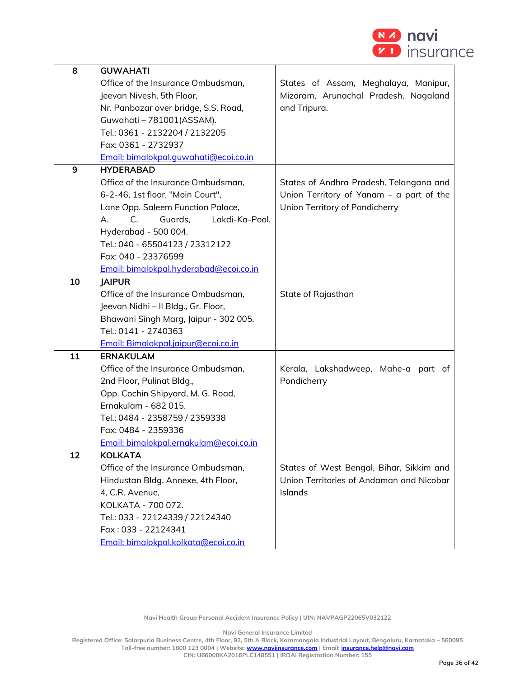

| 8  | <b>GUWAHATI</b>                        |                                          |
|----|----------------------------------------|------------------------------------------|
|    | Office of the Insurance Ombudsman,     | States of Assam, Meghalaya, Manipur,     |
|    | Jeevan Nivesh, 5th Floor,              | Mizoram, Arunachal Pradesh, Nagaland     |
|    | Nr. Panbazar over bridge, S.S. Road,   | and Tripura.                             |
|    | Guwahati - 781001(ASSAM).              |                                          |
|    | Tel.: 0361 - 2132204 / 2132205         |                                          |
|    | Fax: 0361 - 2732937                    |                                          |
|    | Email: bimalokpal.guwahati@ecoi.co.in  |                                          |
| 9  | <b>HYDERABAD</b>                       |                                          |
|    | Office of the Insurance Ombudsman,     | States of Andhra Pradesh, Telangana and  |
|    | 6-2-46, 1st floor, "Moin Court",       | Union Territory of Yanam - a part of the |
|    | Lane Opp. Saleem Function Palace,      | Union Territory of Pondicherry           |
|    | C.<br>Guards,<br>Lakdi-Ka-Pool,<br>А.  |                                          |
|    | Hyderabad - 500 004.                   |                                          |
|    | Tel.: 040 - 65504123 / 23312122        |                                          |
|    | Fax: 040 - 23376599                    |                                          |
|    | Email: bimalokpal.hyderabad@ecoi.co.in |                                          |
| 10 | <b>IAIPUR</b>                          |                                          |
|    | Office of the Insurance Ombudsman,     | State of Rajasthan                       |
|    | Jeevan Nidhi - Il Bldg., Gr. Floor,    |                                          |
|    | Bhawani Singh Marg, Jaipur - 302 005.  |                                          |
|    | Tel.: 0141 - 2740363                   |                                          |
|    | Email: Bimalokpal.jaipur@ecoi.co.in    |                                          |
| 11 | <b>ERNAKULAM</b>                       |                                          |
|    | Office of the Insurance Ombudsman,     | Kerala, Lakshadweep, Mahe-a part of      |
|    | 2nd Floor, Pulinat Bldg.,              | Pondicherry                              |
|    | Opp. Cochin Shipyard, M. G. Road,      |                                          |
|    | Ernakulam - 682 015.                   |                                          |
|    | Tel.: 0484 - 2358759 / 2359338         |                                          |
|    | Fax: 0484 - 2359336                    |                                          |
|    | Email: bimalokpal.ernakulam@ecoi.co.in |                                          |
| 12 | <b>KOLKATA</b>                         |                                          |
|    | Office of the Insurance Ombudsman,     | States of West Bengal, Bihar, Sikkim and |
|    | Hindustan Bldg. Annexe, 4th Floor,     | Union Territories of Andaman and Nicobar |
|    | 4, C.R. Avenue,                        | Islands                                  |
|    | KOLKATA - 700 072.                     |                                          |
|    | Tel.: 033 - 22124339 / 22124340        |                                          |
|    | Fax: 033 - 22124341                    |                                          |
|    | Email: bimalokpal.kolkata@ecoi.co.in   |                                          |

**Navi General Insurance Limited**

**Registered Office: Salarpuria Business Centre, 4th Floor, 93, 5th A Block, Koramangala Industrial Layout, Bengaluru, Karnataka – 560095 Toll-free number: 1800 123 0004 | Website[: www.naviinsurance.com](http://www.naviinsurance.com/) | Email: [insurance.help@navi.com](mailto:insurance.help@navi.com)**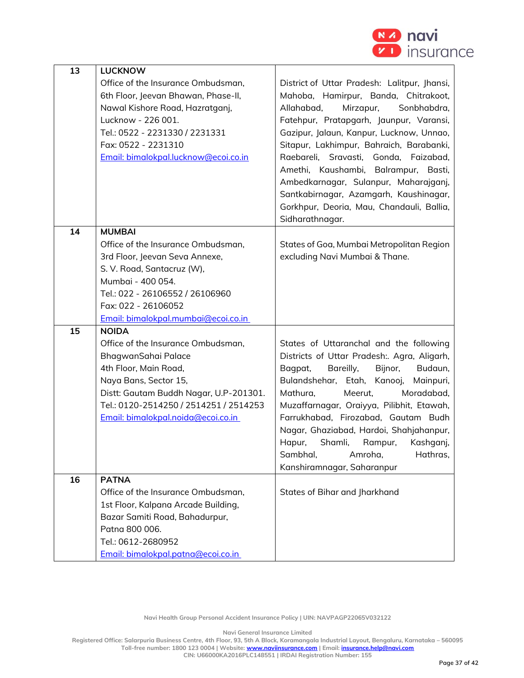

| 13 | <b>LUCKNOW</b>                                                                                                                                                                                                                                        |                                                                                                                                                                                                                                                                                                                                                                                                                                                                                                       |
|----|-------------------------------------------------------------------------------------------------------------------------------------------------------------------------------------------------------------------------------------------------------|-------------------------------------------------------------------------------------------------------------------------------------------------------------------------------------------------------------------------------------------------------------------------------------------------------------------------------------------------------------------------------------------------------------------------------------------------------------------------------------------------------|
|    | Office of the Insurance Ombudsman,<br>6th Floor, Jeevan Bhawan, Phase-II,<br>Nawal Kishore Road, Hazratganj,<br>Lucknow - 226 001.<br>Tel.: 0522 - 2231330 / 2231331<br>Fax: 0522 - 2231310<br>Email: bimalokpal.lucknow@ecoi.co.in                   | District of Uttar Pradesh: Lalitpur, Jhansi,<br>Mahoba, Hamirpur, Banda, Chitrakoot,<br>Allahabad,<br>Mirzapur,<br>Sonbhabdra,<br>Fatehpur, Pratapgarh, Jaunpur, Varansi,<br>Gazipur, Jalaun, Kanpur, Lucknow, Unnao,<br>Sitapur, Lakhimpur, Bahraich, Barabanki,<br>Raebareli, Sravasti, Gonda, Faizabad,<br>Amethi, Kaushambi, Balrampur, Basti,<br>Ambedkarnagar, Sulanpur, Maharajganj,<br>Santkabirnagar, Azamgarh, Kaushinagar,<br>Gorkhpur, Deoria, Mau, Chandauli, Ballia,<br>Sidharathnagar. |
| 14 | <b>MUMBAI</b><br>Office of the Insurance Ombudsman,<br>3rd Floor, Jeevan Seva Annexe,<br>S. V. Road, Santacruz (W),<br>Mumbai - 400 054.<br>Tel.: 022 - 26106552 / 26106960<br>Fax: 022 - 26106052<br>Email: bimalokpal.mumbai@ecoi.co.in             | States of Goa, Mumbai Metropolitan Region<br>excluding Navi Mumbai & Thane.                                                                                                                                                                                                                                                                                                                                                                                                                           |
| 15 | <b>NOIDA</b><br>Office of the Insurance Ombudsman,<br>BhagwanSahai Palace<br>4th Floor, Main Road,<br>Naya Bans, Sector 15,<br>Distt: Gautam Buddh Nagar, U.P-201301.<br>Tel.: 0120-2514250 / 2514251 / 2514253<br>Email: bimalokpal.noida@ecoi.co.in | States of Uttaranchal and the following<br>Districts of Uttar Pradesh:. Agra, Aligarh,<br>Bareilly,<br>Bijnor,<br>Budaun,<br>Bagpat,<br>Bulandshehar, Etah, Kanooj,<br>Mainpuri,<br>Mathura,<br>Meerut,<br>Moradabad,<br>Muzaffarnagar, Oraiyya, Pilibhit, Etawah,<br>Farrukhabad, Firozabad, Gautam Budh<br>Nagar, Ghaziabad, Hardoi, Shahjahanpur,<br>Hapur,<br>Shamli,<br>Rampur,<br>Kashganj,<br>Sambhal,<br>Amroha,<br>Hathras,<br>Kanshiramnagar, Saharanpur                                    |
| 16 | <b>PATNA</b><br>Office of the Insurance Ombudsman,<br>1st Floor, Kalpana Arcade Building,<br>Bazar Samiti Road, Bahadurpur,<br>Patna 800 006.<br>Tel.: 0612-2680952<br>Email: bimalokpal.patna@ecoi.co.in                                             | States of Bihar and Jharkhand                                                                                                                                                                                                                                                                                                                                                                                                                                                                         |

**Navi General Insurance Limited**

**Registered Office: Salarpuria Business Centre, 4th Floor, 93, 5th A Block, Koramangala Industrial Layout, Bengaluru, Karnataka – 560095 Toll-free number: 1800 123 0004 | Website[: www.naviinsurance.com](http://www.naviinsurance.com/) | Email: [insurance.help@navi.com](mailto:insurance.help@navi.com)**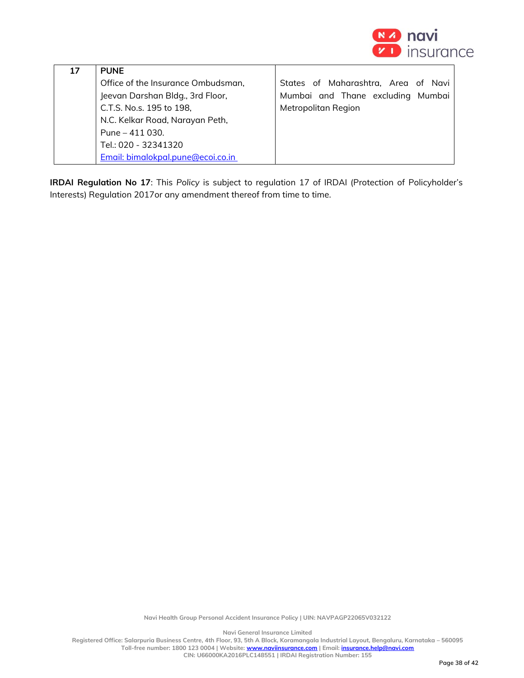

| 17 | <b>PUNE</b>                        |                                     |
|----|------------------------------------|-------------------------------------|
|    | Office of the Insurance Ombudsman, | States of Maharashtra, Area of Navi |
|    | Jeevan Darshan Bldg., 3rd Floor,   | Mumbai and Thane excluding Mumbai   |
|    | C.T.S. No.s. 195 to 198,           | Metropolitan Region                 |
|    | N.C. Kelkar Road, Narayan Peth,    |                                     |
|    | Pune $-411$ 030.                   |                                     |
|    | Tel.: 020 - 32341320               |                                     |
|    | Email: bimalokpal.pune@ecoi.co.in  |                                     |

**IRDAI Regulation No 17**: This *Policy* is subject to regulation 17 of IRDAI (Protection of Policyholder's Interests) Regulation 2017or any amendment thereof from time to time.

**Navi Health Group Personal Accident Insurance Policy | UIN: NAVPAGP22065V032122**

**Navi General Insurance Limited**

**Registered Office: Salarpuria Business Centre, 4th Floor, 93, 5th A Block, Koramangala Industrial Layout, Bengaluru, Karnataka – 560095 Toll-free number: 1800 123 0004 | Website[: www.naviinsurance.com](http://www.naviinsurance.com/) | Email: [insurance.help@navi.com](mailto:insurance.help@navi.com)**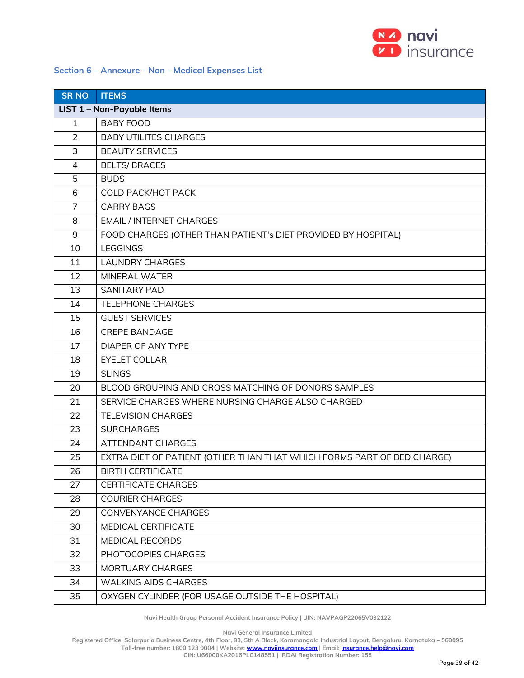

## **Section 6 – Annexure - Non - Medical Expenses List**

| <b>SR NO</b>   | <b>ITEMS</b>                                                           |
|----------------|------------------------------------------------------------------------|
|                | LIST 1 - Non-Payable Items                                             |
| $\mathbf{1}$   | <b>BABY FOOD</b>                                                       |
| $\overline{2}$ | <b>BABY UTILITES CHARGES</b>                                           |
| 3              | <b>BEAUTY SERVICES</b>                                                 |
| 4              | <b>BELTS/BRACES</b>                                                    |
| 5              | <b>BUDS</b>                                                            |
| 6              | <b>COLD PACK/HOT PACK</b>                                              |
| 7              | <b>CARRY BAGS</b>                                                      |
| 8              | <b>EMAIL / INTERNET CHARGES</b>                                        |
| 9              | FOOD CHARGES (OTHER THAN PATIENT's DIET PROVIDED BY HOSPITAL)          |
| 10             | <b>LEGGINGS</b>                                                        |
| 11             | <b>LAUNDRY CHARGES</b>                                                 |
| 12             | MINERAL WATER                                                          |
| 13             | <b>SANITARY PAD</b>                                                    |
| 14             | <b>TELEPHONE CHARGES</b>                                               |
| 15             | <b>GUEST SERVICES</b>                                                  |
| 16             | <b>CREPE BANDAGE</b>                                                   |
| 17             | DIAPER OF ANY TYPE                                                     |
| 18             | <b>EYELET COLLAR</b>                                                   |
| 19             | <b>SLINGS</b>                                                          |
| 20             | BLOOD GROUPING AND CROSS MATCHING OF DONORS SAMPLES                    |
| 21             | SERVICE CHARGES WHERE NURSING CHARGE ALSO CHARGED                      |
| 22             | <b>TELEVISION CHARGES</b>                                              |
| 23             | <b>SURCHARGES</b>                                                      |
| 24             | ATTENDANT CHARGES                                                      |
| 25             | EXTRA DIET OF PATIENT (OTHER THAN THAT WHICH FORMS PART OF BED CHARGE) |
| 26             | <b>BIRTH CERTIFICATE</b>                                               |
| 27             | <b>CERTIFICATE CHARGES</b>                                             |
| 28             | <b>COURIER CHARGES</b>                                                 |
| 29             | CONVENYANCE CHARGES                                                    |
| 30             | MEDICAL CERTIFICATE                                                    |
| 31             | MEDICAL RECORDS                                                        |
| 32             | PHOTOCOPIES CHARGES                                                    |
| 33             | MORTUARY CHARGES                                                       |
| 34             | <b>WALKING AIDS CHARGES</b>                                            |
| 35             | OXYGEN CYLINDER (FOR USAGE OUTSIDE THE HOSPITAL)                       |

**Navi Health Group Personal Accident Insurance Policy | UIN: NAVPAGP22065V032122**

**Navi General Insurance Limited**

**Registered Office: Salarpuria Business Centre, 4th Floor, 93, 5th A Block, Koramangala Industrial Layout, Bengaluru, Karnataka – 560095**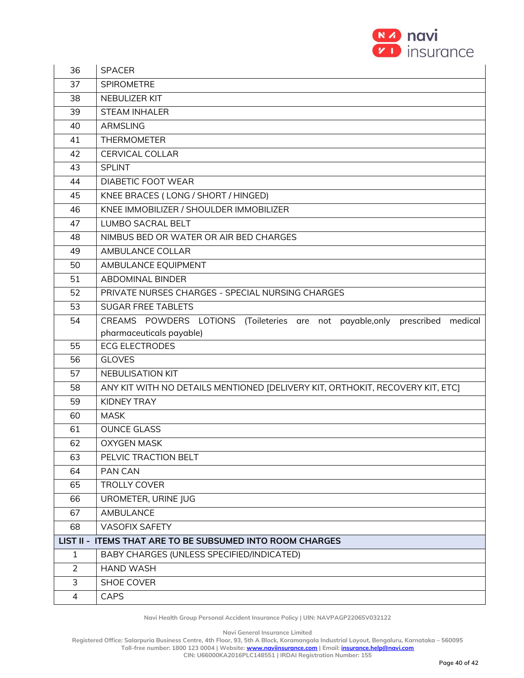

| 36             | <b>SPACER</b>                                                                   |
|----------------|---------------------------------------------------------------------------------|
| 37             | <b>SPIROMETRE</b>                                                               |
| 38             | NEBULIZER KIT                                                                   |
| 39             | <b>STEAM INHALER</b>                                                            |
| 40             | <b>ARMSLING</b>                                                                 |
| 41             | <b>THERMOMETER</b>                                                              |
| 42             | <b>CERVICAL COLLAR</b>                                                          |
| 43             | <b>SPLINT</b>                                                                   |
| 44             | <b>DIABETIC FOOT WEAR</b>                                                       |
| 45             | KNEE BRACES (LONG / SHORT / HINGED)                                             |
| 46             | KNEE IMMOBILIZER / SHOULDER IMMOBILIZER                                         |
| 47             | LUMBO SACRAL BELT                                                               |
| 48             | NIMBUS BED OR WATER OR AIR BED CHARGES                                          |
| 49             | AMBULANCE COLLAR                                                                |
| 50             | AMBULANCE EQUIPMENT                                                             |
| 51             | <b>ABDOMINAL BINDER</b>                                                         |
| 52             | PRIVATE NURSES CHARGES - SPECIAL NURSING CHARGES                                |
| 53             | <b>SUGAR FREE TABLETS</b>                                                       |
| 54             | CREAMS POWDERS LOTIONS (Toileteries are not payable, only prescribed<br>medical |
|                | pharmaceuticals payable)                                                        |
| 55             | <b>ECG ELECTRODES</b>                                                           |
| 56             | <b>GLOVES</b>                                                                   |
| 57             | NEBULISATION KIT                                                                |
| 58             | ANY KIT WITH NO DETAILS MENTIONED [DELIVERY KIT, ORTHOKIT, RECOVERY KIT, ETC]   |
| 59             | <b>KIDNEY TRAY</b>                                                              |
| 60             | <b>MASK</b>                                                                     |
| 61             | <b>OUNCE GLASS</b>                                                              |
| 62             | <b>OXYGEN MASK</b>                                                              |
| 63             | PELVIC TRACTION BELT                                                            |
| 64             | PAN CAN                                                                         |
| 65             | <b>TROLLY COVER</b>                                                             |
| 66             | UROMETER, URINE JUG                                                             |
| 67             | AMBULANCE                                                                       |
| 68             | <b>VASOFIX SAFETY</b>                                                           |
|                | LIST II - ITEMS THAT ARE TO BE SUBSUMED INTO ROOM CHARGES                       |
| $\mathbf{1}$   | BABY CHARGES (UNLESS SPECIFIED/INDICATED)                                       |
| $\overline{2}$ | <b>HAND WASH</b>                                                                |
| 3              | SHOE COVER                                                                      |
| 4              | <b>CAPS</b>                                                                     |

**Navi General Insurance Limited**

**Registered Office: Salarpuria Business Centre, 4th Floor, 93, 5th A Block, Koramangala Industrial Layout, Bengaluru, Karnataka – 560095 Toll-free number: 1800 123 0004 | Website[: www.naviinsurance.com](http://www.naviinsurance.com/) | Email: [insurance.help@navi.com](mailto:insurance.help@navi.com)**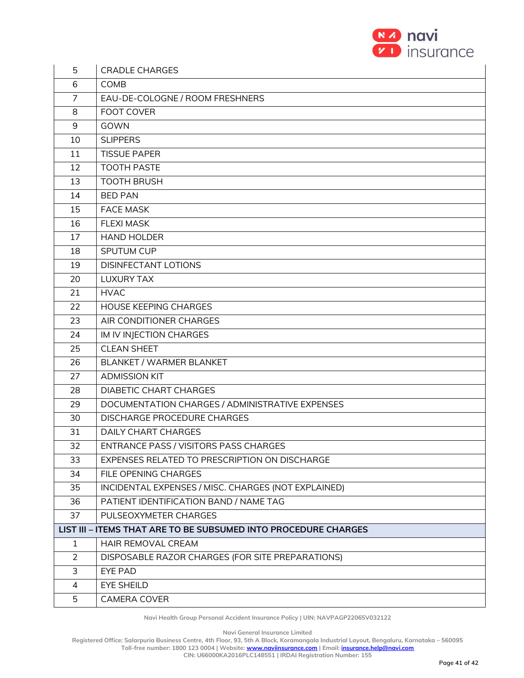

| 5              | <b>CRADLE CHARGES</b>                                           |
|----------------|-----------------------------------------------------------------|
| 6              | <b>COMB</b>                                                     |
| 7              | EAU-DE-COLOGNE / ROOM FRESHNERS                                 |
| 8              | <b>FOOT COVER</b>                                               |
| 9              | GOWN                                                            |
| 10             | <b>SLIPPERS</b>                                                 |
| 11             | <b>TISSUE PAPER</b>                                             |
| 12             | <b>TOOTH PASTE</b>                                              |
| 13             | <b>TOOTH BRUSH</b>                                              |
| 14             | <b>BED PAN</b>                                                  |
| 15             | <b>FACE MASK</b>                                                |
| 16             | <b>FLEXI MASK</b>                                               |
| 17             | <b>HAND HOLDER</b>                                              |
| 18             | SPUTUM CUP                                                      |
| 19             | <b>DISINFECTANT LOTIONS</b>                                     |
| 20             | <b>LUXURY TAX</b>                                               |
| 21             | <b>HVAC</b>                                                     |
| 22             | <b>HOUSE KEEPING CHARGES</b>                                    |
| 23             | AIR CONDITIONER CHARGES                                         |
| 24             | IM IV INJECTION CHARGES                                         |
| 25             | <b>CLEAN SHEET</b>                                              |
| 26             | BLANKET / WARMER BLANKET                                        |
| 27             | <b>ADMISSION KIT</b>                                            |
| 28             | DIABETIC CHART CHARGES                                          |
| 29             | DOCUMENTATION CHARGES / ADMINISTRATIVE EXPENSES                 |
| 30             | <b>DISCHARGE PROCEDURE CHARGES</b>                              |
| 31             | <b>DAILY CHART CHARGES</b>                                      |
| 32             | <b>ENTRANCE PASS / VISITORS PASS CHARGES</b>                    |
| 33             | EXPENSES RELATED TO PRESCRIPTION ON DISCHARGE                   |
| 34             | FILE OPENING CHARGES                                            |
| 35             | INCIDENTAL EXPENSES / MISC. CHARGES (NOT EXPLAINED)             |
| 36             | PATIENT IDENTIFICATION BAND / NAME TAG                          |
| 37             | PULSEOXYMETER CHARGES                                           |
|                | LIST III - ITEMS THAT ARE TO BE SUBSUMED INTO PROCEDURE CHARGES |
| $\mathbf{1}$   | HAIR REMOVAL CREAM                                              |
| $\overline{2}$ | DISPOSABLE RAZOR CHARGES (FOR SITE PREPARATIONS)                |
| 3              | <b>EYE PAD</b>                                                  |
| $\overline{4}$ | <b>EYE SHEILD</b>                                               |
| 5              | CAMERA COVER                                                    |

**Navi General Insurance Limited**

**Registered Office: Salarpuria Business Centre, 4th Floor, 93, 5th A Block, Koramangala Industrial Layout, Bengaluru, Karnataka – 560095**